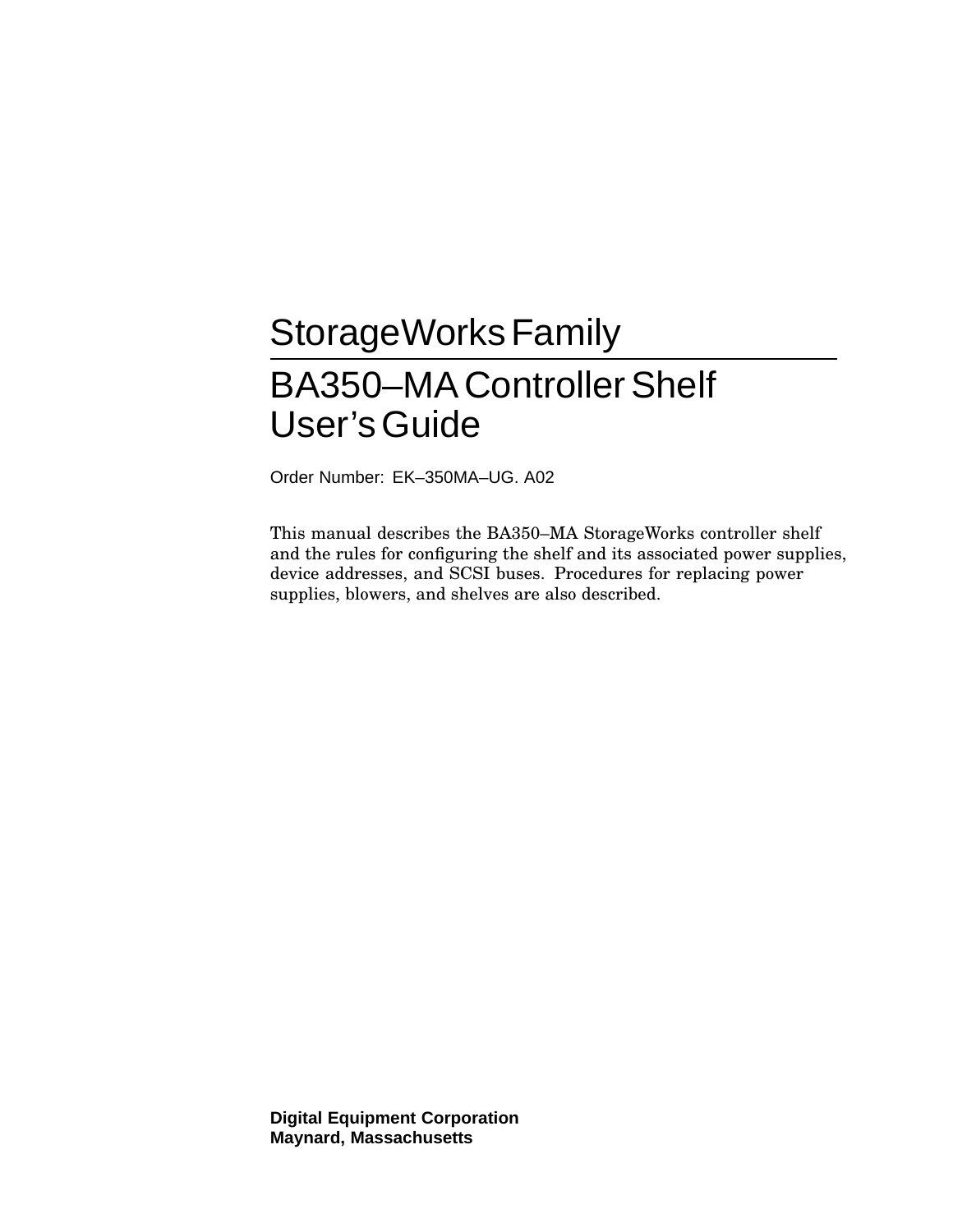# StorageWorks Family BA350–MAControllerShelf User'sGuide

Order Number: EK–350MA–UG. A02

This manual describes the BA350–MA StorageWorks controller shelf and the rules for configuring the shelf and its associated power supplies, device addresses, and SCSI buses. Procedures for replacing power supplies, blowers, and shelves are also described.

**Digital Equipment Corporation Maynard, Massachusetts**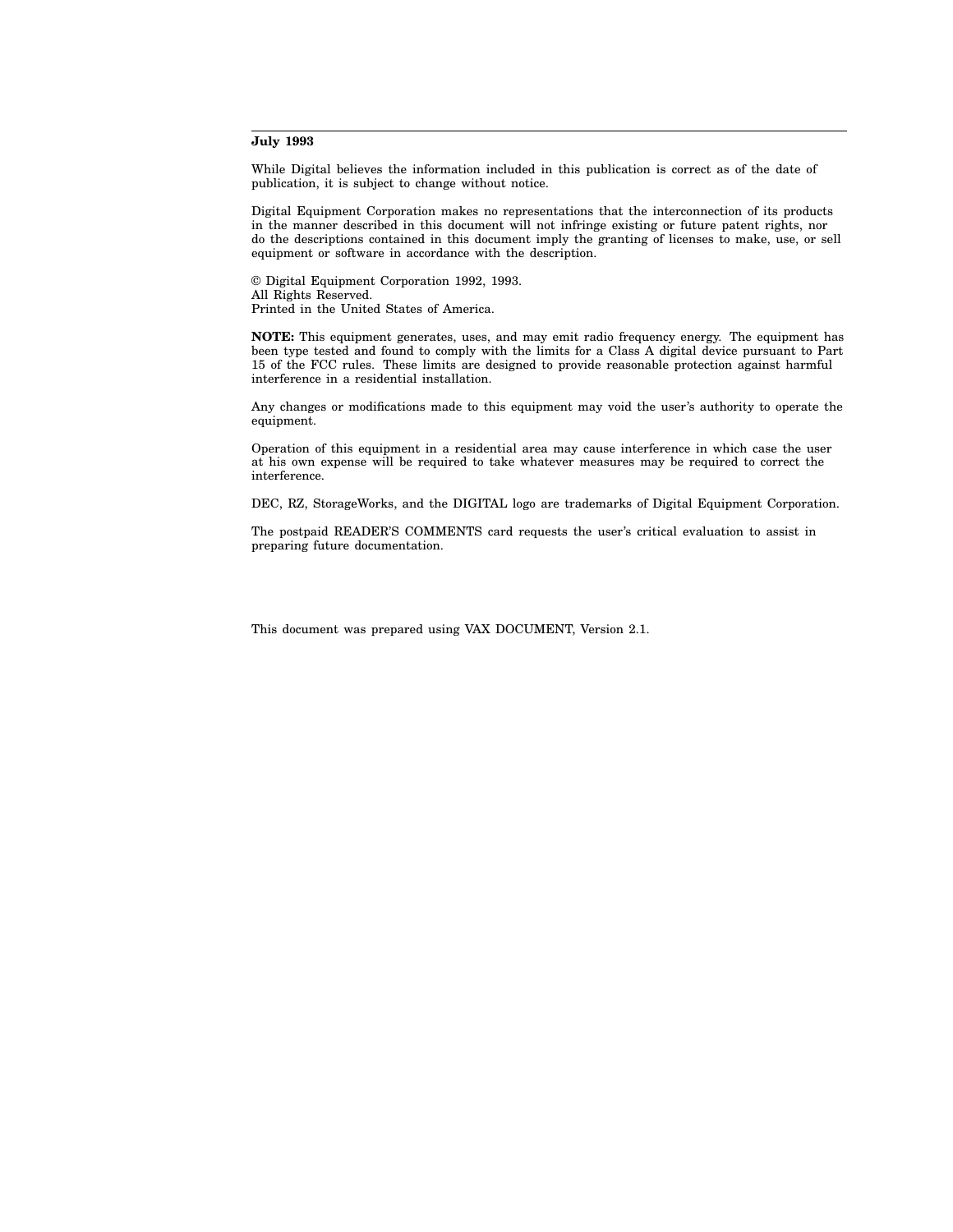#### **July 1993**

While Digital believes the information included in this publication is correct as of the date of publication, it is subject to change without notice.

Digital Equipment Corporation makes no representations that the interconnection of its products in the manner described in this document will not infringe existing or future patent rights, nor do the descriptions contained in this document imply the granting of licenses to make, use, or sell equipment or software in accordance with the description.

© Digital Equipment Corporation 1992, 1993. All Rights Reserved. Printed in the United States of America.

**NOTE:** This equipment generates, uses, and may emit radio frequency energy. The equipment has been type tested and found to comply with the limits for a Class A digital device pursuant to Part 15 of the FCC rules. These limits are designed to provide reasonable protection against harmful interference in a residential installation.

Any changes or modifications made to this equipment may void the user's authority to operate the equipment.

Operation of this equipment in a residential area may cause interference in which case the user at his own expense will be required to take whatever measures may be required to correct the interference.

DEC, RZ, StorageWorks, and the DIGITAL logo are trademarks of Digital Equipment Corporation.

The postpaid READER'S COMMENTS card requests the user's critical evaluation to assist in preparing future documentation.

This document was prepared using VAX DOCUMENT, Version 2.1.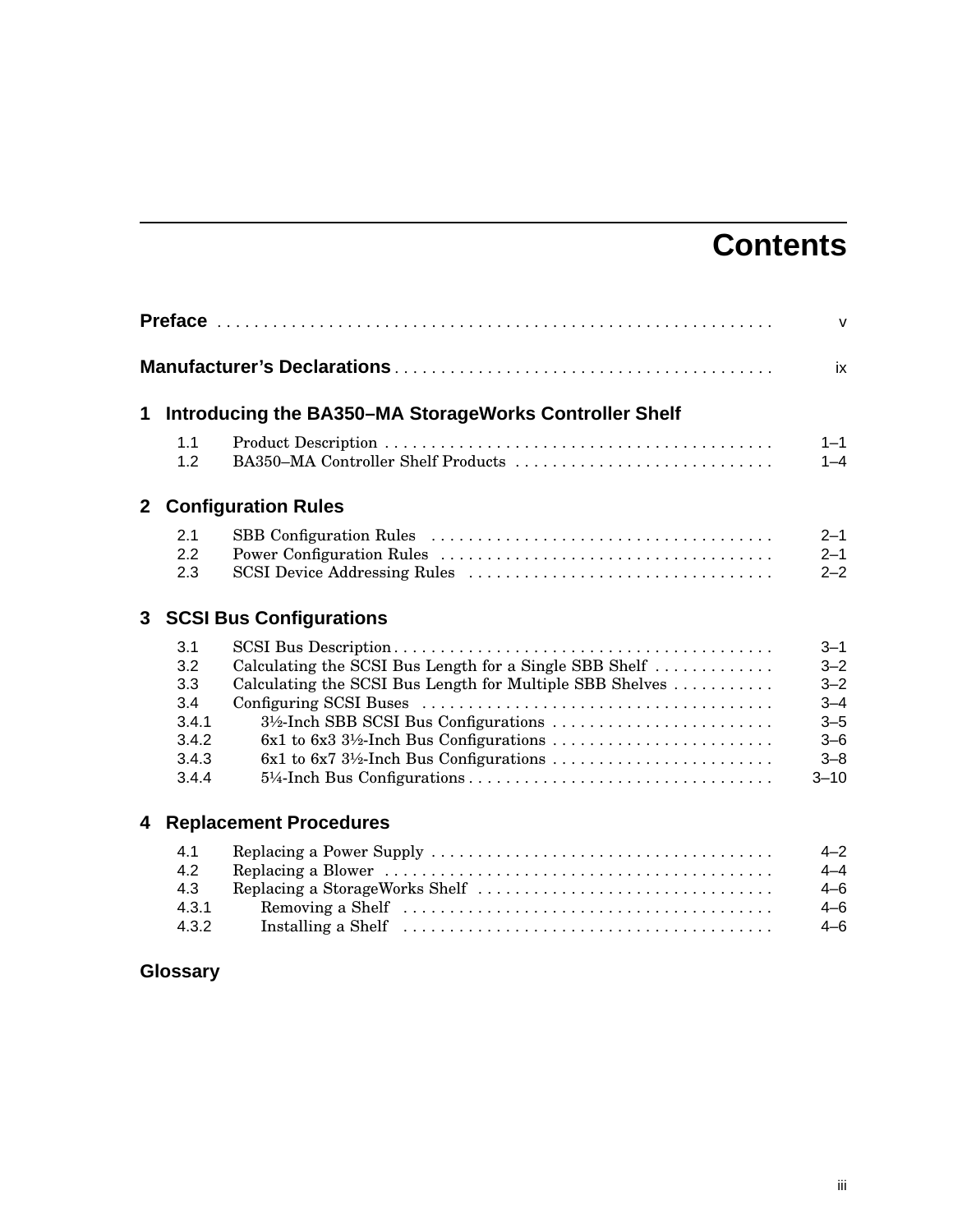# **Contents**

|              |                                                              |                                                                                                                                                                                                                     | $\mathsf{V}$                                                                          |
|--------------|--------------------------------------------------------------|---------------------------------------------------------------------------------------------------------------------------------------------------------------------------------------------------------------------|---------------------------------------------------------------------------------------|
|              |                                                              |                                                                                                                                                                                                                     | ix                                                                                    |
| 1            |                                                              | Introducing the BA350-MA StorageWorks Controller Shelf                                                                                                                                                              |                                                                                       |
|              | 1.1<br>1.2                                                   | BA350–MA Controller Shelf Products                                                                                                                                                                                  | $1 - 1$<br>$1 - 4$                                                                    |
| $\mathbf{2}$ |                                                              | <b>Configuration Rules</b>                                                                                                                                                                                          |                                                                                       |
|              | 2.1<br>2.2<br>2.3                                            |                                                                                                                                                                                                                     | $2 - 1$<br>$2 - 1$<br>$2 - 2$                                                         |
| 3            |                                                              | <b>SCSI Bus Configurations</b>                                                                                                                                                                                      |                                                                                       |
|              | 3.1<br>3.2<br>3.3<br>3.4<br>3.4.1<br>3.4.2<br>3.4.3<br>3.4.4 | Calculating the SCSI Bus Length for a Single SBB Shelf<br>Calculating the SCSI Bus Length for Multiple SBB Shelves<br>3½-Inch SBB SCSI Bus Configurations<br>$6x1$ to $6x3$ $3\frac{1}{2}$ -Inch Bus Configurations | $3 - 1$<br>$3 - 2$<br>$3 - 2$<br>$3 - 4$<br>$3 - 5$<br>$3 - 6$<br>$3 - 8$<br>$3 - 10$ |
| 4            |                                                              | <b>Replacement Procedures</b>                                                                                                                                                                                       |                                                                                       |
|              | 4.1<br>4.2<br>4.3<br>4.3.1<br>4.3.2                          | Replacing a StorageWorks Shelf                                                                                                                                                                                      | $4 - 2$<br>$4 - 4$<br>$4 - 6$<br>$4 - 6$<br>$4 - 6$                                   |

# **Glossary**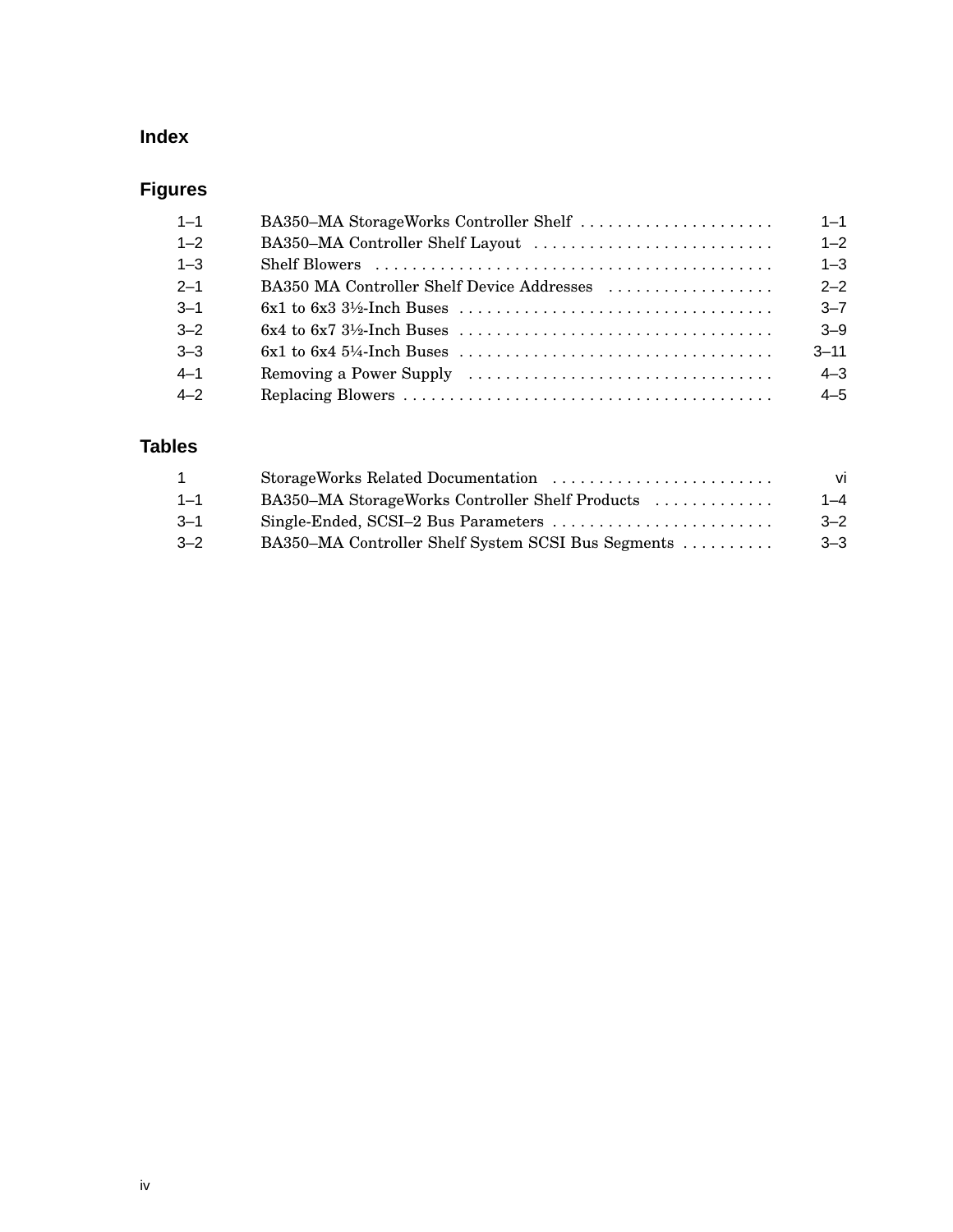## **Index**

# **Figures**

| $1 - 1$ | BA350–MA StorageWorks Controller Shelf     | $1 - 1$  |
|---------|--------------------------------------------|----------|
| $1 - 2$ |                                            | $1 - 2$  |
| $1 - 3$ |                                            | $1 - 3$  |
| $2 - 1$ | BA350 MA Controller Shelf Device Addresses | $2 - 2$  |
| $3 - 1$ |                                            | $3 - 7$  |
| $3 - 2$ |                                            | $3 - 9$  |
| $3 - 3$ |                                            | $3 - 11$ |
| $4 - 1$ |                                            | $4 - 3$  |
| $4 - 2$ |                                            | $4 - 5$  |

## **Tables**

| $\mathbf{1}$ | StorageWorks Related Documentation                 | vi      |
|--------------|----------------------------------------------------|---------|
| $1 - 1$      | BA350–MA StorageWorks Controller Shelf Products    | $1 - 4$ |
| $3 - 1$      |                                                    | $-2$    |
| $3 - 2$      | BA350–MA Controller Shelf System SCSI Bus Segments | $3 - 3$ |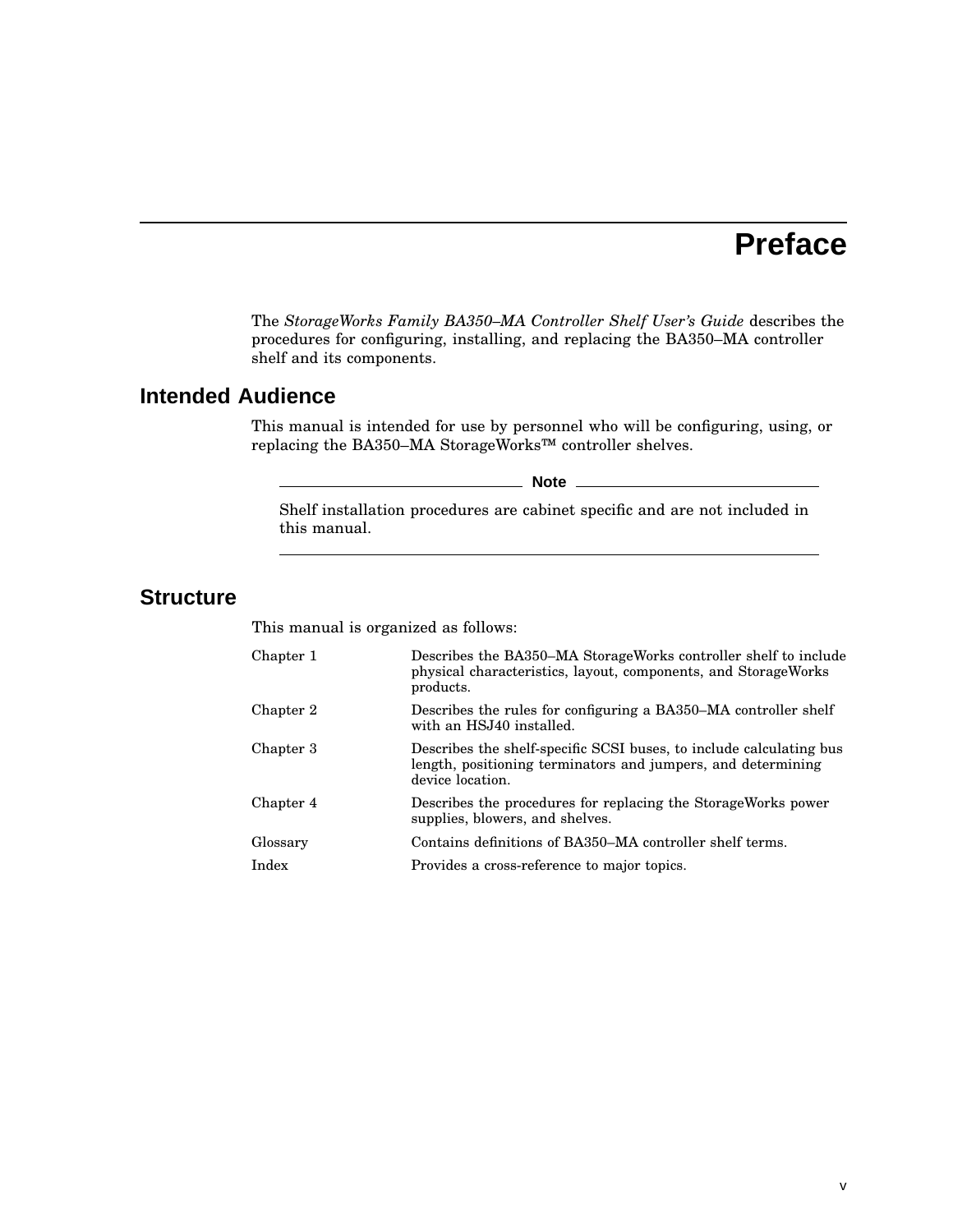# **Preface**

The *StorageWorks Family BA350–MA Controller Shelf User's Guide* describes the procedures for configuring, installing, and replacing the BA350–MA controller shelf and its components.

## **Intended Audience**

This manual is intended for use by personnel who will be configuring, using, or replacing the BA350–MA StorageWorks™ controller shelves.

**Note**

Shelf installation procedures are cabinet specific and are not included in this manual.

## **Structure**

This manual is organized as follows:

| Chapter 1 | Describes the BA350–MA Storage Works controller shelf to include<br>physical characteristics, layout, components, and StorageWorks<br>products.         |
|-----------|---------------------------------------------------------------------------------------------------------------------------------------------------------|
| Chapter 2 | Describes the rules for configuring a BA350–MA controller shelf<br>with an HSJ40 installed.                                                             |
| Chapter 3 | Describes the shelf-specific SCSI buses, to include calculating bus<br>length, positioning terminators and jumpers, and determining<br>device location. |
| Chapter 4 | Describes the procedures for replacing the Storage Works power<br>supplies, blowers, and shelves.                                                       |
| Glossary  | Contains definitions of BA350–MA controller shelf terms.                                                                                                |
| Index     | Provides a cross-reference to major topics.                                                                                                             |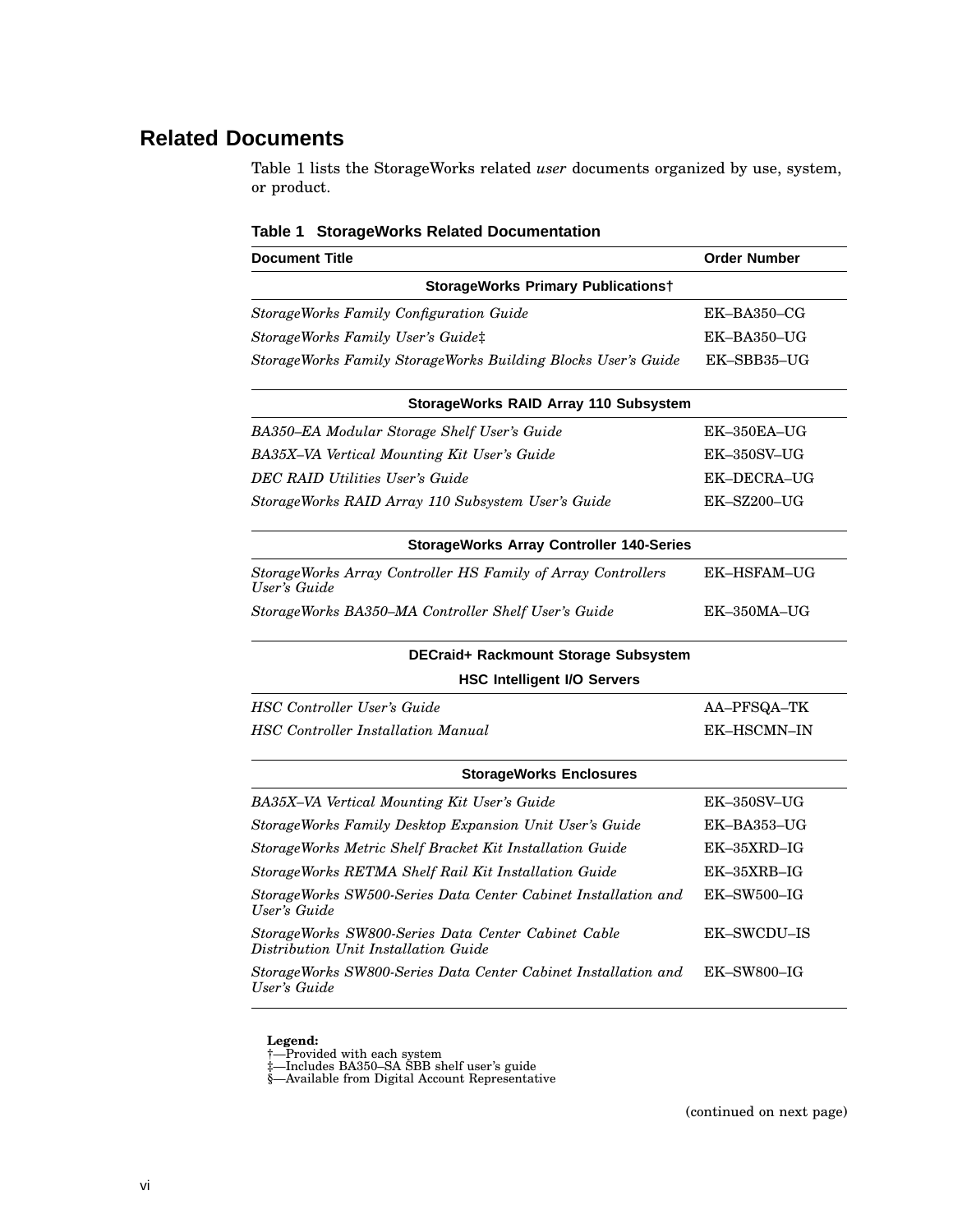## **Related Documents**

Table 1 lists the StorageWorks related *user* documents organized by use, system, or product.

| <b>Document Title</b>                                                                       | <b>Order Number</b> |
|---------------------------------------------------------------------------------------------|---------------------|
| <b>StorageWorks Primary Publicationst</b>                                                   |                     |
| StorageWorks Family Configuration Guide                                                     | $EK-BA350-CG$       |
| StorageWorks Family User's Guide‡                                                           | EK-BA350-UG         |
| StorageWorks Family StorageWorks Building Blocks User's Guide                               | EK-SBB35-UG         |
| StorageWorks RAID Array 110 Subsystem                                                       |                     |
| BA350-EA Modular Storage Shelf User's Guide                                                 | $EK-350EA-UG$       |
| BA35X-VA Vertical Mounting Kit User's Guide                                                 | $EK-350SV-UG$       |
| <b>DEC RAID Utilities User's Guide</b>                                                      | <b>EK-DECRA-UG</b>  |
| StorageWorks RAID Array 110 Subsystem User's Guide                                          | EK-SZ200-UG         |
| <b>StorageWorks Array Controller 140-Series</b>                                             |                     |
| StorageWorks Array Controller HS Family of Array Controllers<br>User's Guide                | <b>EK-HSFAM-UG</b>  |
| StorageWorks BA350–MA Controller Shelf User's Guide                                         | EK-350MA-UG         |
| DECraid+ Rackmount Storage Subsystem                                                        |                     |
| <b>HSC Intelligent I/O Servers</b>                                                          |                     |
| <b>HSC</b> Controller User's Guide                                                          | AA-PFSQA-TK         |
| <b>HSC</b> Controller Installation Manual                                                   | EK-HSCMN-IN         |
| <b>StorageWorks Enclosures</b>                                                              |                     |
| BA35X-VA Vertical Mounting Kit User's Guide                                                 | EK-350SV-UG         |
| StorageWorks Family Desktop Expansion Unit User's Guide                                     | EK-BA353-UG         |
| StorageWorks Metric Shelf Bracket Kit Installation Guide                                    | $EK-35XRD-IG$       |
| StorageWorks RETMA Shelf Rail Kit Installation Guide                                        | $EK-35XRB-IG$       |
| StorageWorks SW500-Series Data Center Cabinet Installation and<br>User's Guide              | EK-SW500-IG         |
| StorageWorks SW800-Series Data Center Cabinet Cable<br>Distribution Unit Installation Guide | <b>EK-SWCDU-IS</b>  |
| StorageWorks SW800-Series Data Center Cabinet Installation and<br>User's Guide              | $EK$ -SW800-IG      |

#### **Table 1 StorageWorks Related Documentation**

**Legend:**<br>†—Provided with each system<br>‡—Includes BA350–SA SBB shelf user's guide<br>§—Available from Digital Account Representative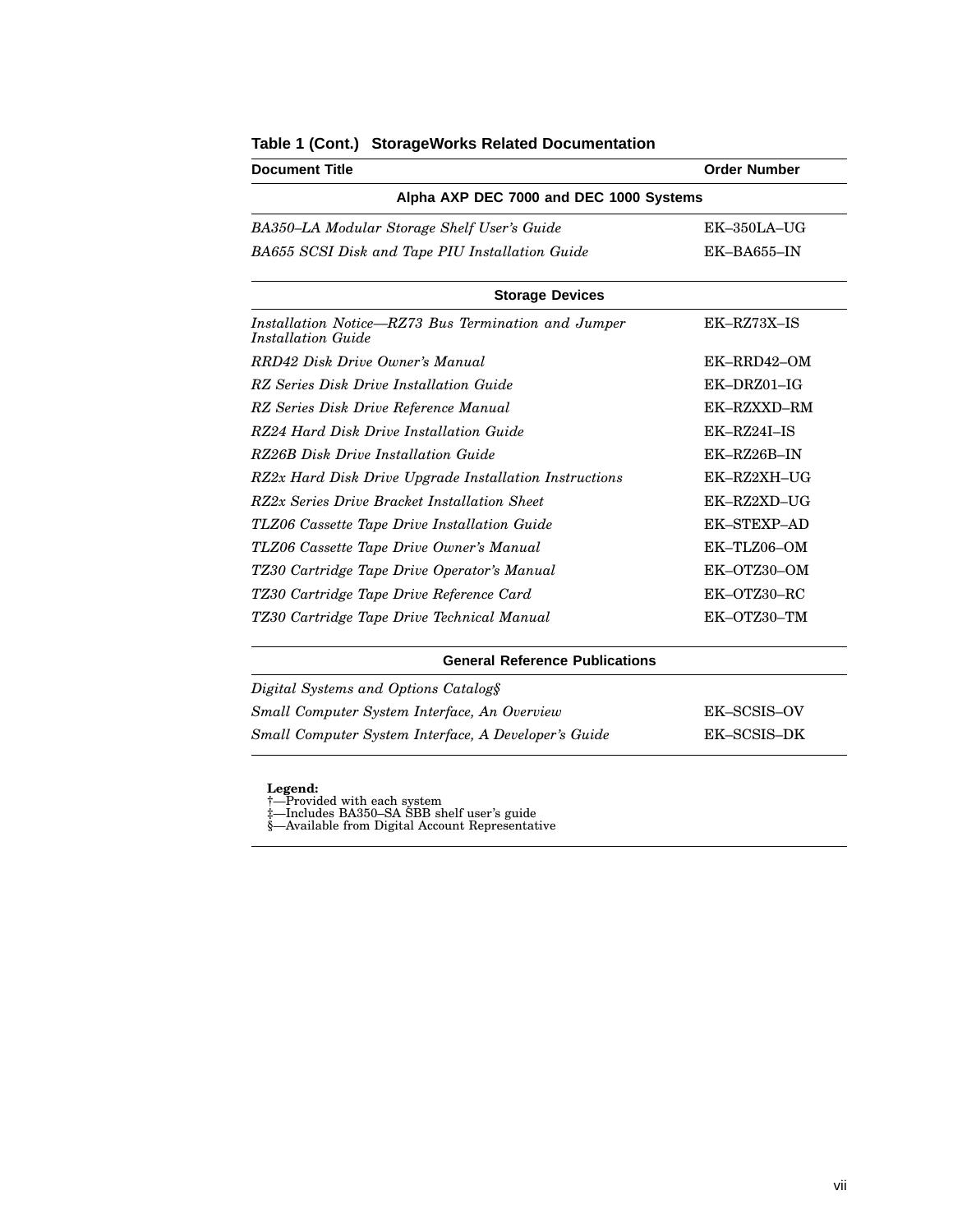| <b>Document Title</b>                                                     | <b>Order Number</b> |
|---------------------------------------------------------------------------|---------------------|
| Alpha AXP DEC 7000 and DEC 1000 Systems                                   |                     |
| BA350-LA Modular Storage Shelf User's Guide                               | EK-350LA-UG         |
| BA655 SCSI Disk and Tape PIU Installation Guide                           | EK-BA655-IN         |
| <b>Storage Devices</b>                                                    |                     |
| Installation Notice–RZ73 Bus Termination and Jumper<br>Installation Guide | EK-RZ73X-IS         |
| RRD42 Disk Drive Owner's Manual                                           | EK-RRD42-OM         |
| RZ Series Disk Drive Installation Guide                                   | EK-DRZ01-IG         |
| RZ Series Disk Drive Reference Manual                                     | EK-RZXXD-RM         |
| RZ24 Hard Disk Drive Installation Guide                                   | $EK-RZ24I-IS$       |
| RZ26B Disk Drive Installation Guide                                       | EK-RZ26B-IN         |
| RZ2x Hard Disk Drive Upgrade Installation Instructions                    | EK-RZ2XH-UG         |
| RZ2x Series Drive Bracket Installation Sheet                              | EK-RZ2XD-UG         |
| TLZ06 Cassette Tape Drive Installation Guide                              | <b>EK-STEXP-AD</b>  |
| TLZ06 Cassette Tape Drive Owner's Manual                                  | EK-TLZ06-OM         |
| TZ30 Cartridge Tape Drive Operator's Manual                               | EK-OTZ30-OM         |
| TZ30 Cartridge Tape Drive Reference Card                                  | EK-OTZ30-RC         |
| TZ30 Cartridge Tape Drive Technical Manual                                | EK-OTZ30-TM         |
| <b>General Reference Publications</b>                                     |                     |
| Digital Systems and Options Catalog§                                      |                     |
| Small Computer System Interface, An Overview                              | EK-SCSIS-OV         |
| Small Computer System Interface, A Developer's Guide                      | EK-SCSIS-DK         |

|  | Table 1 (Cont.) StorageWorks Related Documentation |  |  |
|--|----------------------------------------------------|--|--|
|--|----------------------------------------------------|--|--|

**Legend:**<br>†—Provided with each system<br>‡—Includes BA350–SA SBB shelf user's guide<br>§—Available from Digital Account Representative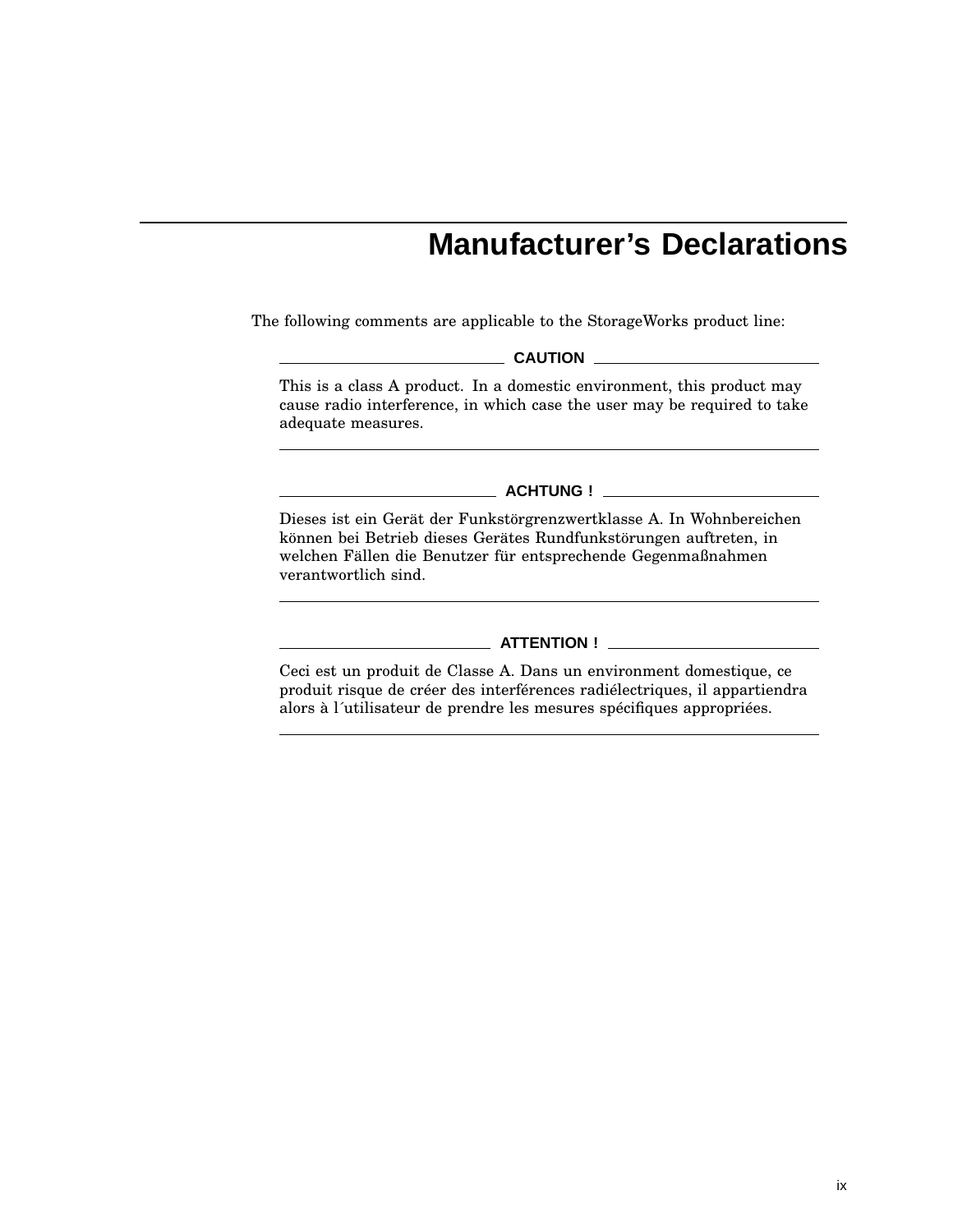# **Manufacturer's Declarations**

The following comments are applicable to the StorageWorks product line:

**CAUTION**

This is a class A product. In a domestic environment, this product may cause radio interference, in which case the user may be required to take adequate measures.

**ACHTUNG !**

Dieses ist ein Gerät der Funkstörgrenzwertklasse A. In Wohnbereichen können bei Betrieb dieses Gerätes Rundfunkstörungen auftreten, in welchen Fällen die Benutzer für entsprechende Gegenmaßnahmen verantwortlich sind.

#### **ATTENTION !**

Ceci est un produit de Classe A. Dans un environment domestique, ce produit risque de créer des interférences radiélectriques, il appartiendra alors à l´utilisateur de prendre les mesures spécifiques appropriées.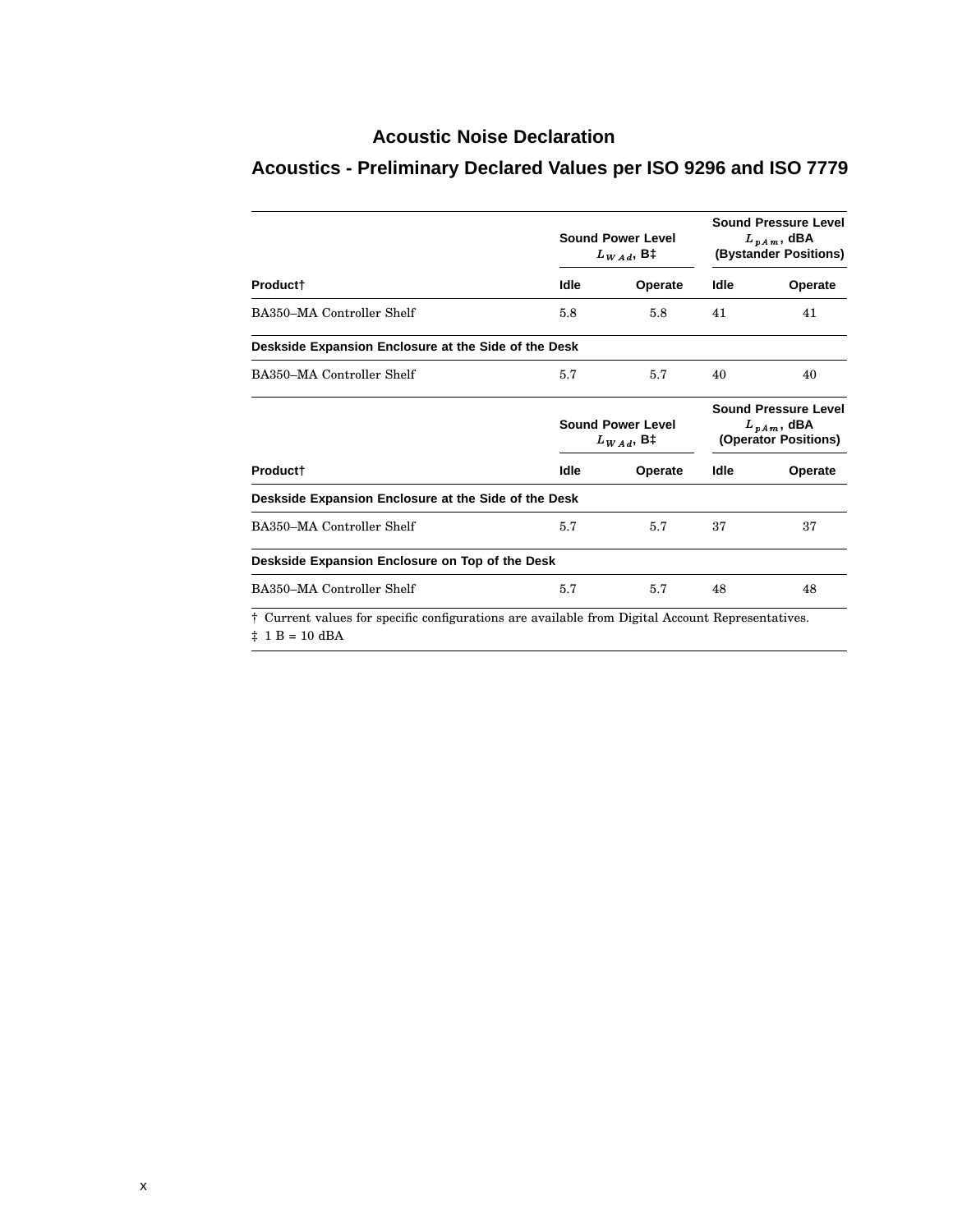## **Acoustic Noise Declaration**

|                                                                                                                             | <b>Sound Power Level</b><br>$L_{WAd}$ , B‡ |         | <b>Sound Pressure Level</b><br>$L_{pA m}$ , dBA<br>(Bystander Positions) |         |
|-----------------------------------------------------------------------------------------------------------------------------|--------------------------------------------|---------|--------------------------------------------------------------------------|---------|
| Product†                                                                                                                    | Idle                                       | Operate | Idle                                                                     | Operate |
| BA350-MA Controller Shelf                                                                                                   | 5.8                                        | 5.8     | 41                                                                       | 41      |
| Deskside Expansion Enclosure at the Side of the Desk                                                                        |                                            |         |                                                                          |         |
| BA350–MA Controller Shelf                                                                                                   | 5.7                                        | 5.7     | 40                                                                       | 40      |
|                                                                                                                             | <b>Sound Power Level</b><br>$L_{WAd}$ , B‡ |         | <b>Sound Pressure Level</b><br>$L_{nAm}$ , dBA<br>(Operator Positions)   |         |
| Product <sup>+</sup>                                                                                                        | Idle                                       | Operate | Idle                                                                     | Operate |
| Deskside Expansion Enclosure at the Side of the Desk                                                                        |                                            |         |                                                                          |         |
| BA350-MA Controller Shelf                                                                                                   | 5.7                                        | 5.7     | 37                                                                       | 37      |
| Deskside Expansion Enclosure on Top of the Desk                                                                             |                                            |         |                                                                          |         |
| BA350–MA Controller Shelf                                                                                                   | 5.7                                        | 5.7     | 48                                                                       | 48      |
| † Current values for specific configurations are available from Digital Account Representatives.<br>$\ddagger$ 1 B = 10 dBA |                                            |         |                                                                          |         |

# **Acoustics - Preliminary Declared Values per ISO 9296 and ISO 7779**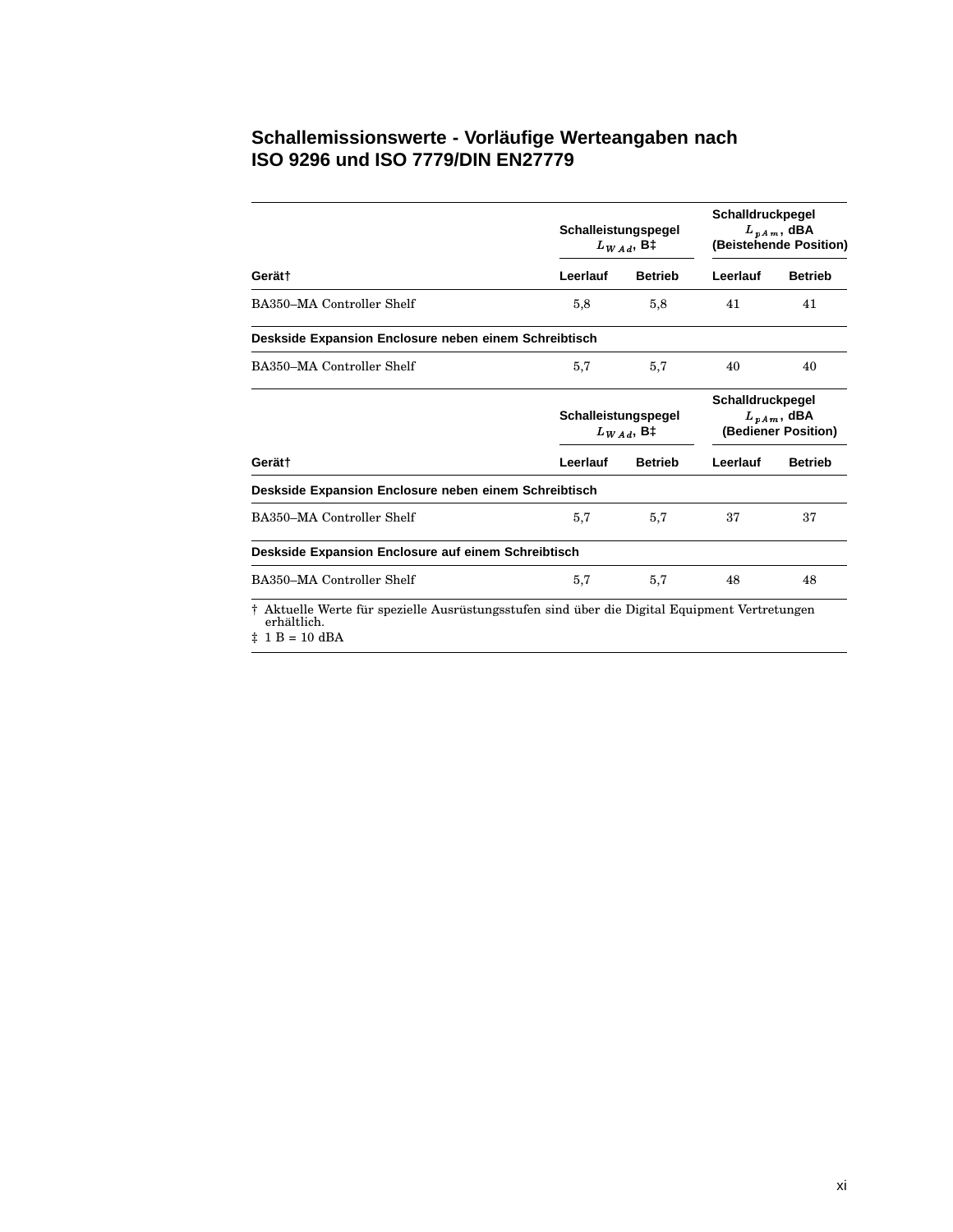### **Schallemissionswerte - Vorläufige Werteangaben nach ISO 9296 und ISO 7779/DIN EN27779**

|                                                                                                                                         | Schalleistungspegel<br>$L_{WAd}$ , B‡ | Schalldruckpegel<br>$L_{\nu Am}$ , dBA<br>(Beistehende Position) |          |                                                            |  |
|-----------------------------------------------------------------------------------------------------------------------------------------|---------------------------------------|------------------------------------------------------------------|----------|------------------------------------------------------------|--|
| Gerät†                                                                                                                                  | Leerlauf                              | <b>Betrieb</b>                                                   | Leerlauf | <b>Betrieb</b>                                             |  |
| BA350–MA Controller Shelf                                                                                                               | 5,8                                   | 5,8                                                              | 41       | 41                                                         |  |
| Deskside Expansion Enclosure neben einem Schreibtisch                                                                                   |                                       |                                                                  |          |                                                            |  |
| BA350–MA Controller Shelf                                                                                                               | 5,7                                   | 5,7                                                              | 40       | 40                                                         |  |
|                                                                                                                                         |                                       | Schalleistungspegel<br>$L_{WAA}$ , B‡                            |          | Schalldruckpegel<br>$L_{vAm}$ , dBA<br>(Bediener Position) |  |
| Gerät†                                                                                                                                  | Leerlauf                              | <b>Betrieb</b>                                                   | Leerlauf | <b>Betrieb</b>                                             |  |
| Deskside Expansion Enclosure neben einem Schreibtisch                                                                                   |                                       |                                                                  |          |                                                            |  |
| BA350-MA Controller Shelf                                                                                                               | 5,7                                   | 5,7                                                              | 37       | 37                                                         |  |
| Deskside Expansion Enclosure auf einem Schreibtisch                                                                                     |                                       |                                                                  |          |                                                            |  |
| BA350–MA Controller Shelf                                                                                                               | 5,7                                   | 5,7                                                              | 48       | 48                                                         |  |
| † Aktuelle Werte für spezielle Ausrüstungsstufen sind über die Digital Equipment Vertretungen<br>erhältlich.<br>$\ddagger$ 1 B = 10 dBA |                                       |                                                                  |          |                                                            |  |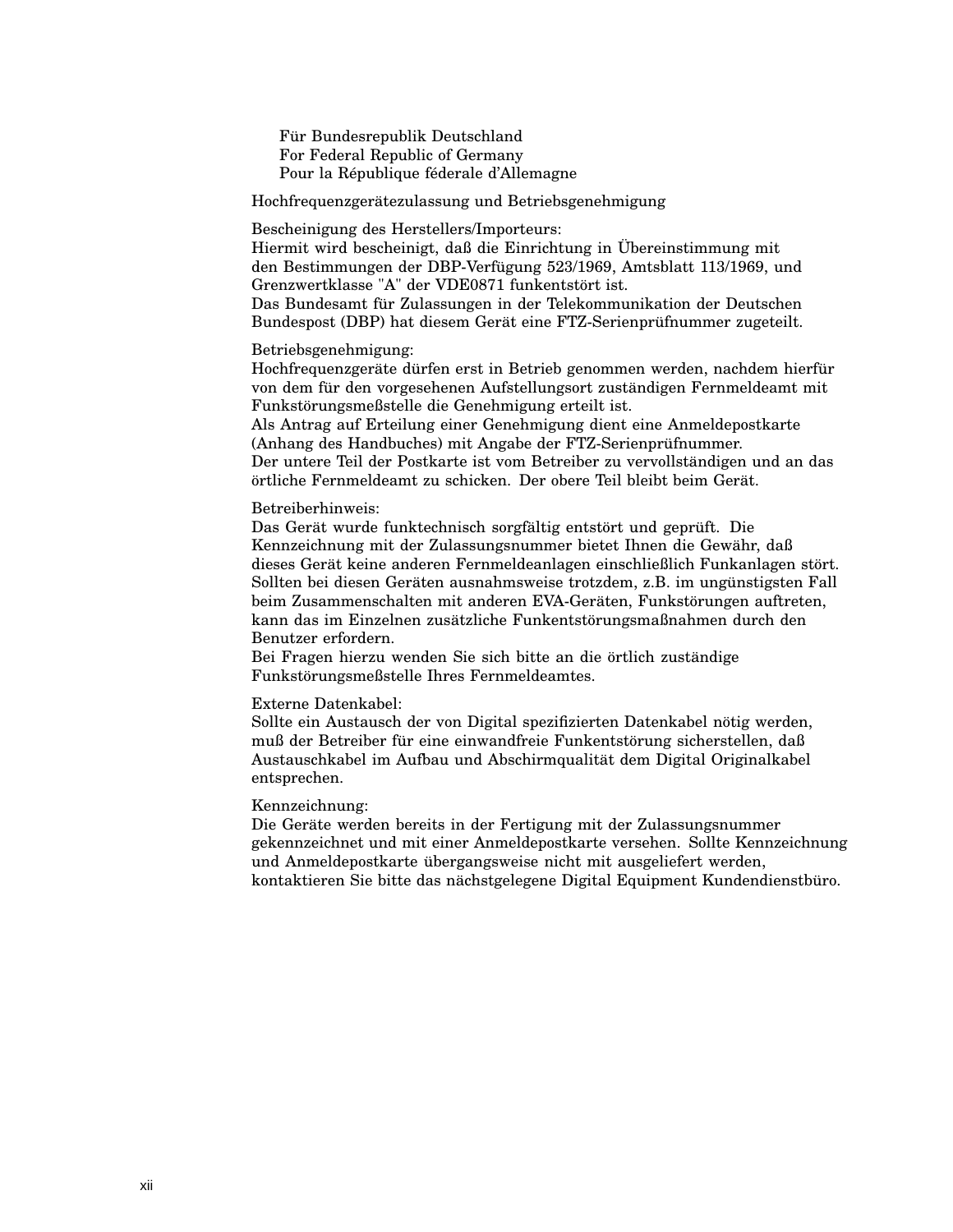Für Bundesrepublik Deutschland For Federal Republic of Germany Pour la République féderale d'Allemagne

Hochfrequenzgerätezulassung und Betriebsgenehmigung

Bescheinigung des Herstellers/Importeurs:

Hiermit wird bescheinigt, daß die Einrichtung in Übereinstimmung mit den Bestimmungen der DBP-Verfügung 523/1969, Amtsblatt 113/1969, und Grenzwertklasse "A" der VDE0871 funkentstört ist.

Das Bundesamt für Zulassungen in der Telekommunikation der Deutschen Bundespost (DBP) hat diesem Gerät eine FTZ-Serienprüfnummer zugeteilt.

#### Betriebsgenehmigung:

Hochfrequenzgeräte dürfen erst in Betrieb genommen werden, nachdem hierfür von dem für den vorgesehenen Aufstellungsort zuständigen Fernmeldeamt mit Funkstörungsmeßstelle die Genehmigung erteilt ist.

Als Antrag auf Erteilung einer Genehmigung dient eine Anmeldepostkarte (Anhang des Handbuches) mit Angabe der FTZ-Serienprüfnummer. Der untere Teil der Postkarte ist vom Betreiber zu vervollständigen und an das örtliche Fernmeldeamt zu schicken. Der obere Teil bleibt beim Gerät.

#### Betreiberhinweis:

Das Gerät wurde funktechnisch sorgfältig entstört und geprüft. Die Kennzeichnung mit der Zulassungsnummer bietet Ihnen die Gewähr, daß dieses Gerät keine anderen Fernmeldeanlagen einschließlich Funkanlagen stört. Sollten bei diesen Geräten ausnahmsweise trotzdem, z.B. im ungünstigsten Fall beim Zusammenschalten mit anderen EVA-Geräten, Funkstörungen auftreten, kann das im Einzelnen zusätzliche Funkentstörungsmaßnahmen durch den Benutzer erfordern.

Bei Fragen hierzu wenden Sie sich bitte an die örtlich zuständige Funkstörungsmeßstelle Ihres Fernmeldeamtes.

#### Externe Datenkabel:

Sollte ein Austausch der von Digital spezifizierten Datenkabel nötig werden, muß der Betreiber für eine einwandfreie Funkentstörung sicherstellen, daß Austauschkabel im Aufbau und Abschirmqualität dem Digital Originalkabel entsprechen.

#### Kennzeichnung:

Die Geräte werden bereits in der Fertigung mit der Zulassungsnummer gekennzeichnet und mit einer Anmeldepostkarte versehen. Sollte Kennzeichnung und Anmeldepostkarte übergangsweise nicht mit ausgeliefert werden, kontaktieren Sie bitte das nächstgelegene Digital Equipment Kundendienstbüro.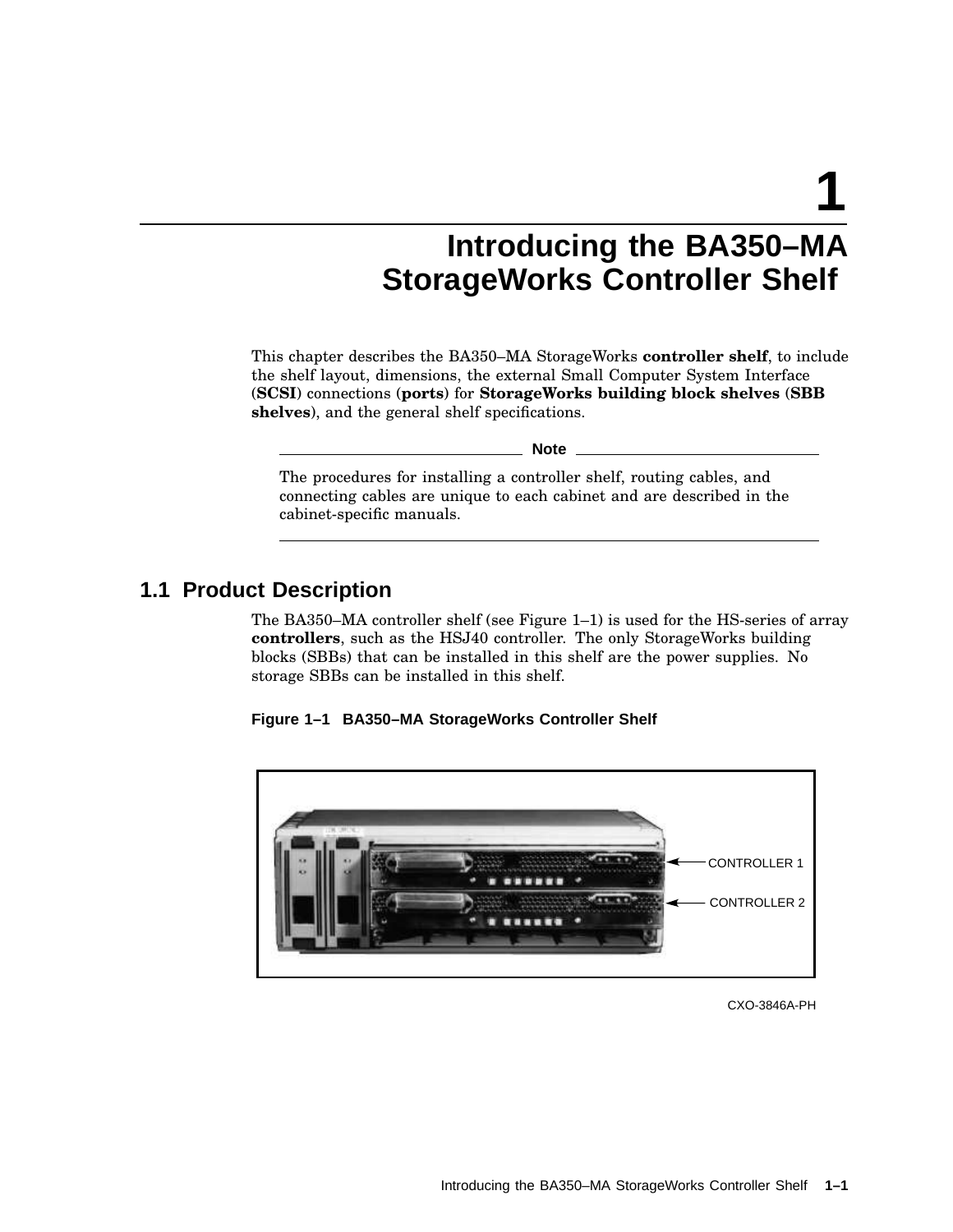**1**

# **Introducing the BA350–MA StorageWorks Controller Shelf**

This chapter describes the BA350–MA StorageWorks **controller shelf**, to include the shelf layout, dimensions, the external Small Computer System Interface (**SCSI**) connections (**ports**) for **StorageWorks building block shelves** (**SBB shelves**), and the general shelf specifications.

**Note**

The procedures for installing a controller shelf, routing cables, and connecting cables are unique to each cabinet and are described in the cabinet-specific manuals.

## **1.1 Product Description**

The BA350–MA controller shelf (see Figure 1–1) is used for the HS-series of array **controllers**, such as the HSJ40 controller. The only StorageWorks building blocks (SBBs) that can be installed in this shelf are the power supplies. No storage SBBs can be installed in this shelf.





CXO-3846A-PH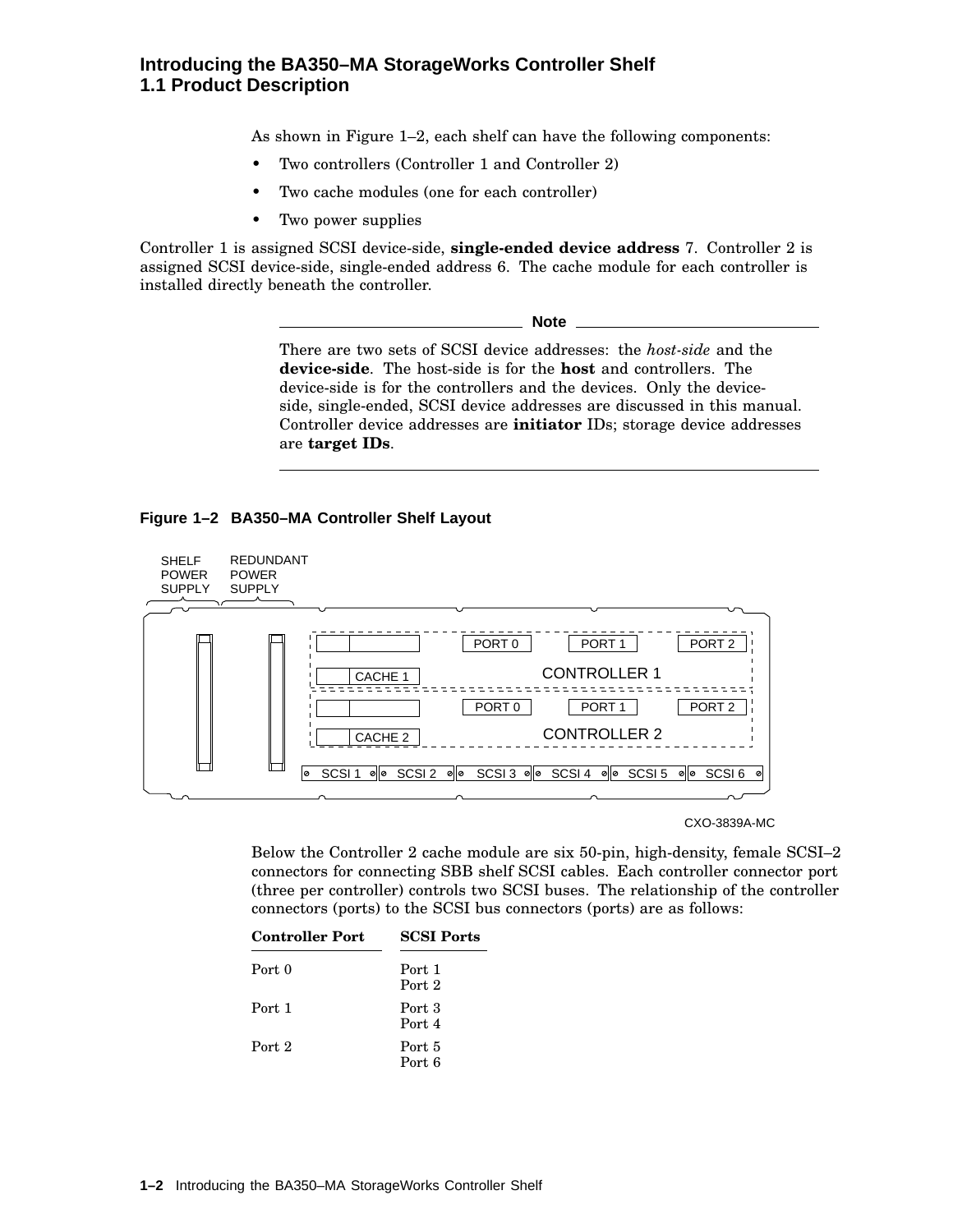### **Introducing the BA350–MA StorageWorks Controller Shelf 1.1 Product Description**

As shown in Figure 1–2, each shelf can have the following components:

- Two controllers (Controller 1 and Controller 2)
- Two cache modules (one for each controller)
- Two power supplies

Controller 1 is assigned SCSI device-side, **single-ended device address** 7. Controller 2 is assigned SCSI device-side, single-ended address 6. The cache module for each controller is installed directly beneath the controller.

**Note**

There are two sets of SCSI device addresses: the *host-side* and the **device-side**. The host-side is for the **host** and controllers. The device-side is for the controllers and the devices. Only the deviceside, single-ended, SCSI device addresses are discussed in this manual. Controller device addresses are **initiator** IDs; storage device addresses are **target IDs**.

#### **Figure 1–2 BA350–MA Controller Shelf Layout**



CXO-3839A-MC

Below the Controller 2 cache module are six 50-pin, high-density, female SCSI–2 connectors for connecting SBB shelf SCSI cables. Each controller connector port (three per controller) controls two SCSI buses. The relationship of the controller connectors (ports) to the SCSI bus connectors (ports) are as follows:

| <b>Controller Port</b> | <b>SCSI Ports</b>           |  |  |
|------------------------|-----------------------------|--|--|
| Port 0                 | Port 1<br>Port 2            |  |  |
| Port 1                 | Port 3<br>Port <sub>4</sub> |  |  |
| Port 2                 | Port 5<br>Port 6            |  |  |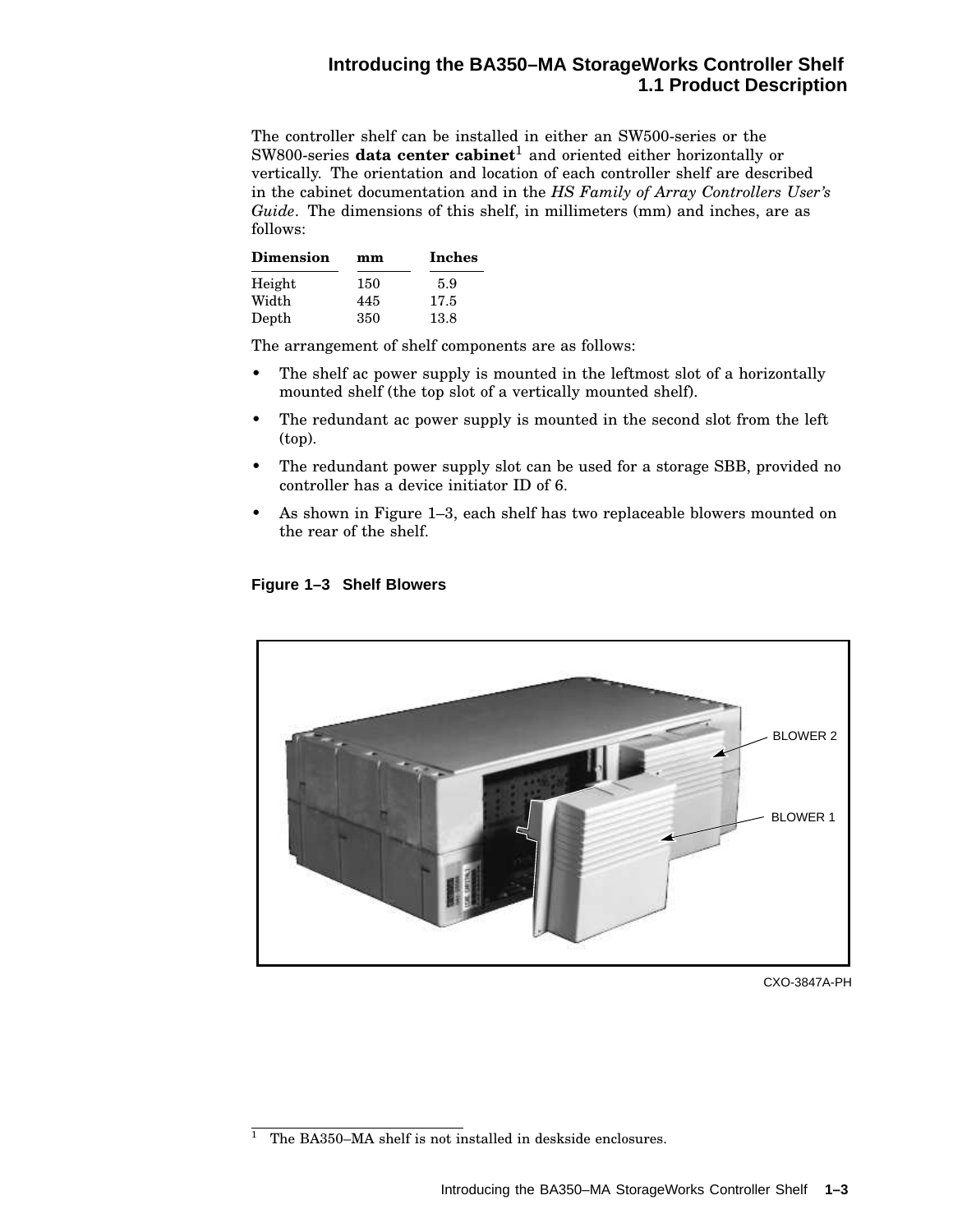### **Introducing the BA350–MA StorageWorks Controller Shelf 1.1 Product Description**

The controller shelf can be installed in either an SW500-series or the SW800-series **data center cabinet**<sup>1</sup> and oriented either horizontally or vertically. The orientation and location of each controller shelf are described in the cabinet documentation and in the *HS Family of Array Controllers User's Guide*. The dimensions of this shelf, in millimeters (mm) and inches, are as follows:

| <b>Dimension</b> | mm  | Inches |  |
|------------------|-----|--------|--|
| Height           | 150 | 59     |  |
| Width            | 445 | 17.5   |  |
| Depth            | 350 | 13.8   |  |

The arrangement of shelf components are as follows:

- The shelf ac power supply is mounted in the leftmost slot of a horizontally mounted shelf (the top slot of a vertically mounted shelf).
- The redundant ac power supply is mounted in the second slot from the left (top).
- The redundant power supply slot can be used for a storage SBB, provided no controller has a device initiator ID of 6.
- As shown in Figure 1–3, each shelf has two replaceable blowers mounted on the rear of the shelf.





CXO-3847A-PH

<sup>&</sup>lt;sup>1</sup> The BA350–MA shelf is not installed in deskside enclosures.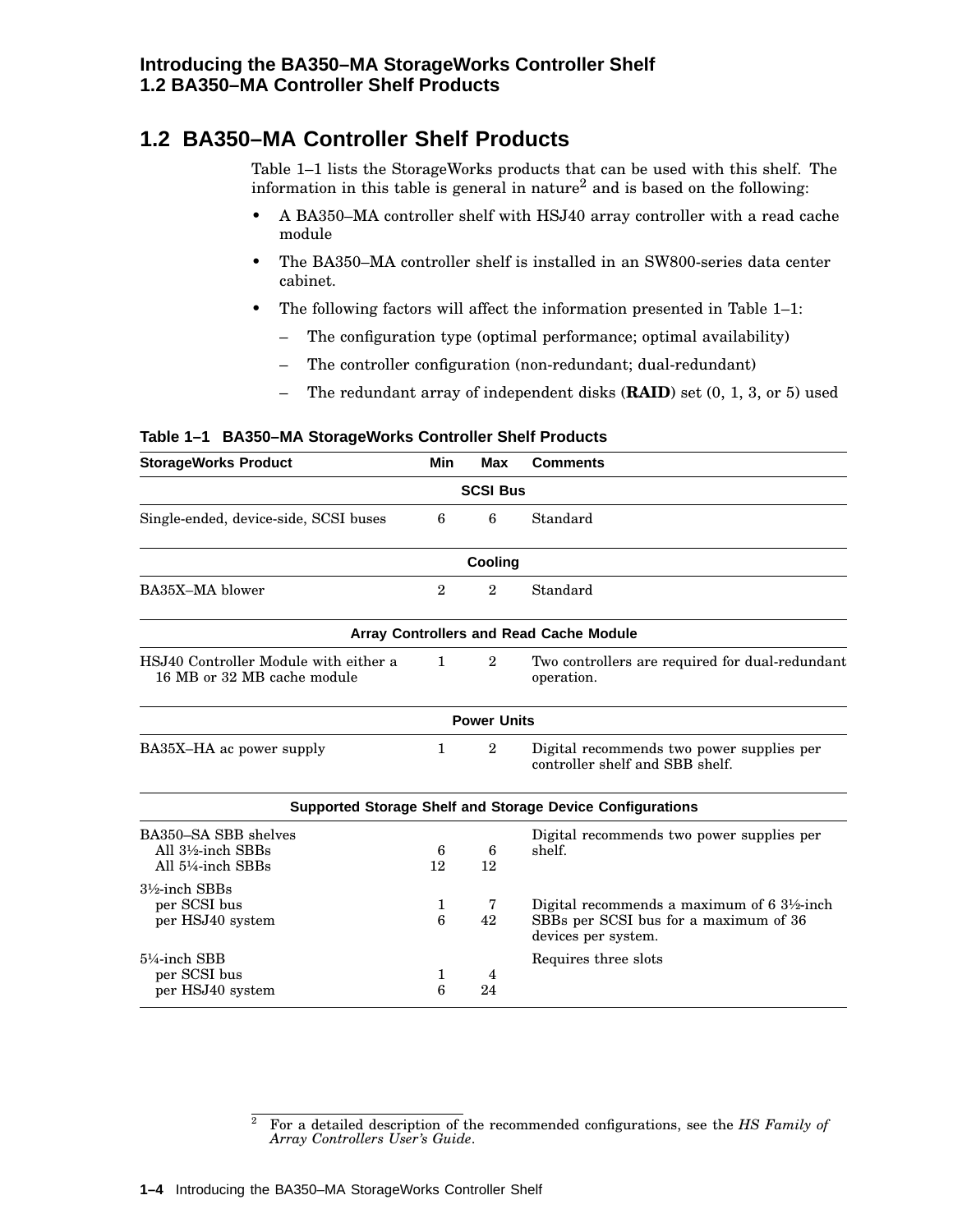## **1.2 BA350–MA Controller Shelf Products**

Table 1–1 lists the StorageWorks products that can be used with this shelf. The information in this table is general in nature<sup>2</sup> and is based on the following:

- A BA350–MA controller shelf with HSJ40 array controller with a read cache module
- The BA350–MA controller shelf is installed in an SW800-series data center cabinet.
- The following factors will affect the information presented in Table 1–1:
	- The configuration type (optimal performance; optimal availability)
	- The controller configuration (non-redundant; dual-redundant)
	- The redundant array of independent disks (**RAID**) set (0, 1, 3, or 5) used

#### **Table 1–1 BA350–MA StorageWorks Controller Shelf Products**

| <b>StorageWorks Product</b>                                          | Min     | <b>Max</b>         | <b>Comments</b>                                                                                           |
|----------------------------------------------------------------------|---------|--------------------|-----------------------------------------------------------------------------------------------------------|
|                                                                      |         | <b>SCSI Bus</b>    |                                                                                                           |
| 6<br>6<br>Standard<br>Single-ended, device-side, SCSI buses          |         |                    |                                                                                                           |
|                                                                      |         | Cooling            |                                                                                                           |
| BA35X-MA blower                                                      |         | $\overline{2}$     | Standard                                                                                                  |
|                                                                      |         |                    | Array Controllers and Read Cache Module                                                                   |
| HSJ40 Controller Module with either a<br>16 MB or 32 MB cache module |         | $\overline{2}$     | Two controllers are required for dual-redundant<br>operation.                                             |
|                                                                      |         | <b>Power Units</b> |                                                                                                           |
| BA35X-HA ac power supply                                             | 1       | $\overline{2}$     | Digital recommends two power supplies per<br>controller shelf and SBB shelf.                              |
|                                                                      |         |                    | <b>Supported Storage Shelf and Storage Device Configurations</b>                                          |
| BA350-SA SBB shelves<br>All 3½-inch SBBs<br>All 5¼-inch SBBs         | 6<br>12 | 6<br>12            | Digital recommends two power supplies per<br>shelf.                                                       |
| $3\frac{1}{2}$ -inch SBBs<br>per SCSI bus<br>per HSJ40 system        | 1<br>6  | 7<br>42            | Digital recommends a maximum of 6 3½-inch<br>SBBs per SCSI bus for a maximum of 36<br>devices per system. |
| 5¼-inch SBB<br>per SCSI bus<br>per HSJ40 system                      | 1<br>6  | 4<br>24            | Requires three slots                                                                                      |

<sup>2</sup> For a detailed description of the recommended configurations, see the *HS Family of Array Controllers User's Guide*.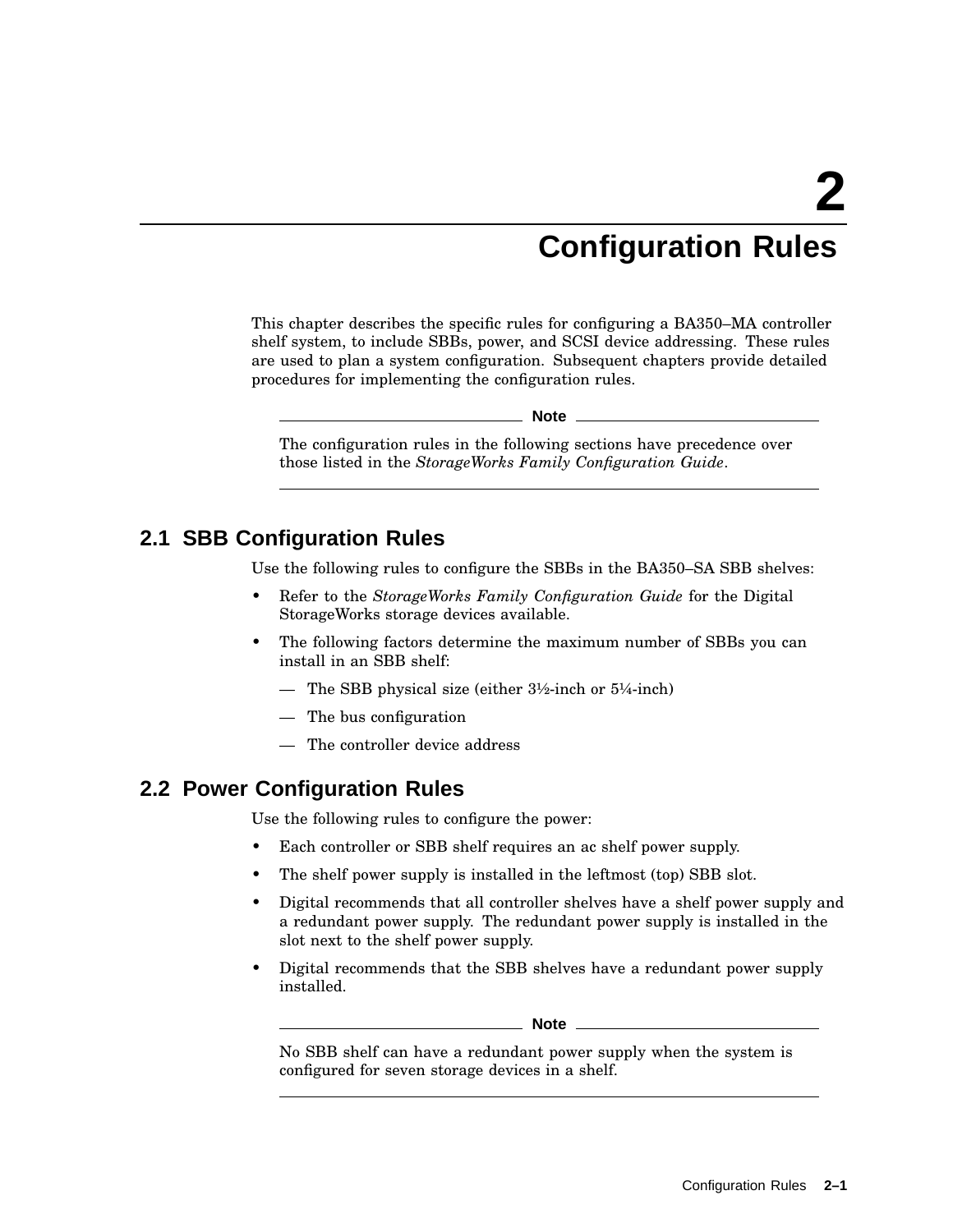# **Configuration Rules**

This chapter describes the specific rules for configuring a BA350–MA controller shelf system, to include SBBs, power, and SCSI device addressing. These rules are used to plan a system configuration. Subsequent chapters provide detailed procedures for implementing the configuration rules.

**Note**

The configuration rules in the following sections have precedence over those listed in the *StorageWorks Family Configuration Guide*.

## **2.1 SBB Configuration Rules**

Use the following rules to configure the SBBs in the BA350–SA SBB shelves:

- Refer to the *StorageWorks Family Configuration Guide* for the Digital StorageWorks storage devices available.
- The following factors determine the maximum number of SBBs you can install in an SBB shelf:
	- The SBB physical size (either  $3\frac{1}{2}$ -inch or  $5\frac{1}{4}$ -inch)
	- The bus configuration
	- The controller device address

## **2.2 Power Configuration Rules**

Use the following rules to configure the power:

- Each controller or SBB shelf requires an ac shelf power supply.
- The shelf power supply is installed in the leftmost (top) SBB slot.
- Digital recommends that all controller shelves have a shelf power supply and a redundant power supply. The redundant power supply is installed in the slot next to the shelf power supply.
- Digital recommends that the SBB shelves have a redundant power supply installed.

**Note**

No SBB shelf can have a redundant power supply when the system is configured for seven storage devices in a shelf.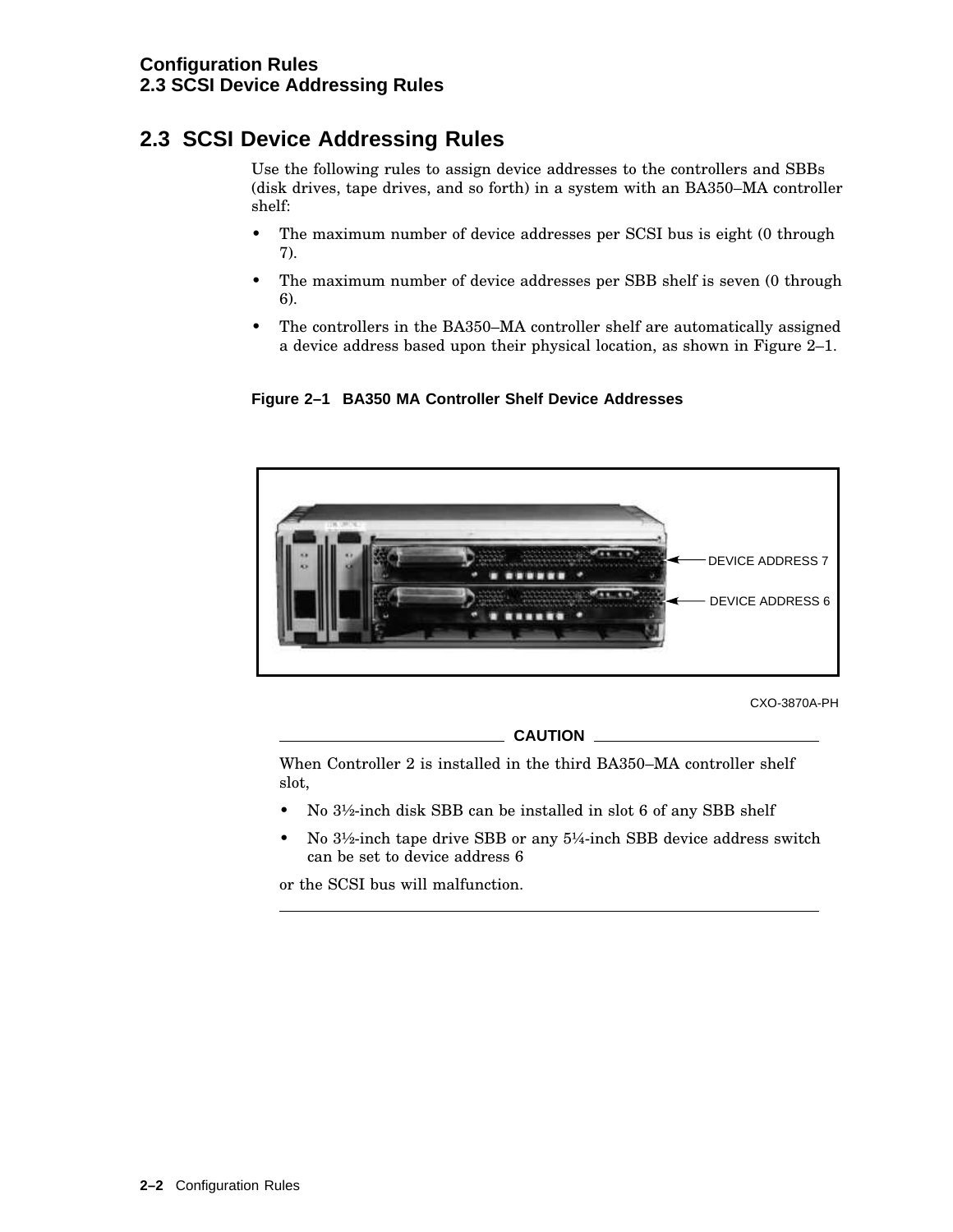# **2.3 SCSI Device Addressing Rules**

Use the following rules to assign device addresses to the controllers and SBBs (disk drives, tape drives, and so forth) in a system with an BA350–MA controller shelf:

- The maximum number of device addresses per SCSI bus is eight (0 through 7).
- The maximum number of device addresses per SBB shelf is seven (0 through 6).
- The controllers in the BA350–MA controller shelf are automatically assigned a device address based upon their physical location, as shown in Figure 2–1.





CXO-3870A-PH

**CAUTION**

When Controller 2 is installed in the third BA350–MA controller shelf slot,

- No  $3\frac{1}{2}$ -inch disk SBB can be installed in slot 6 of any SBB shelf
- No 3½-inch tape drive SBB or any 5¼-inch SBB device address switch can be set to device address 6

or the SCSI bus will malfunction.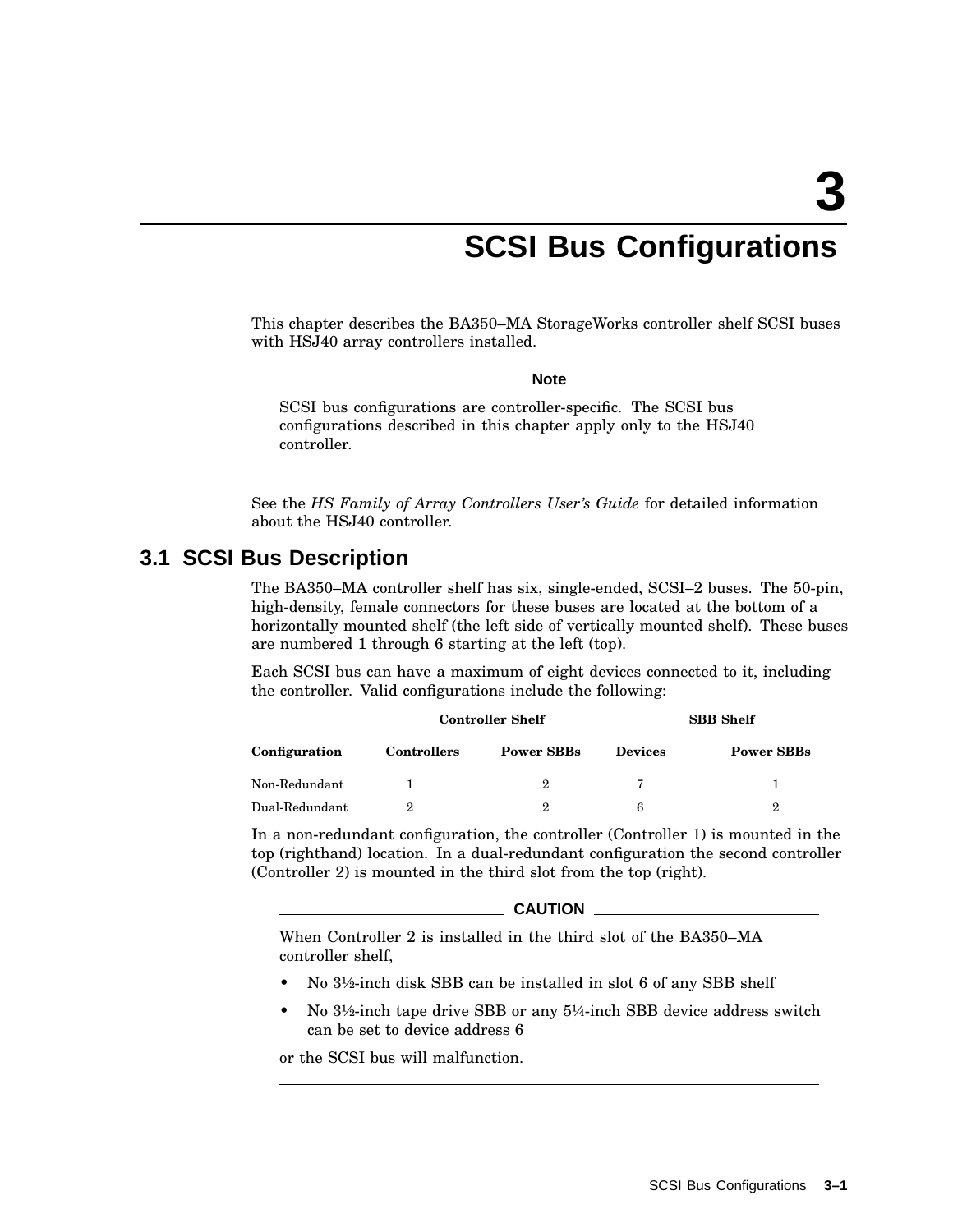# **SCSI Bus Configurations**

This chapter describes the BA350–MA StorageWorks controller shelf SCSI buses with HSJ40 array controllers installed.

**Note**

SCSI bus configurations are controller-specific. The SCSI bus configurations described in this chapter apply only to the HSJ40 controller.

See the *HS Family of Array Controllers User's Guide* for detailed information about the HSJ40 controller.

## **3.1 SCSI Bus Description**

The BA350–MA controller shelf has six, single-ended, SCSI–2 buses. The 50-pin, high-density, female connectors for these buses are located at the bottom of a horizontally mounted shelf (the left side of vertically mounted shelf). These buses are numbered 1 through 6 starting at the left (top).

Each SCSI bus can have a maximum of eight devices connected to it, including the controller. Valid configurations include the following:

|                | <b>Controller Shelf</b> |                   | <b>SBB</b> Shelf |                   |  |
|----------------|-------------------------|-------------------|------------------|-------------------|--|
| Configuration  | <b>Controllers</b>      | <b>Power SBBs</b> | <b>Devices</b>   | <b>Power SBBs</b> |  |
| Non-Redundant  |                         |                   |                  |                   |  |
| Dual-Redundant |                         | 9                 | 6                | 2                 |  |

In a non-redundant configuration, the controller (Controller 1) is mounted in the top (righthand) location. In a dual-redundant configuration the second controller (Controller 2) is mounted in the third slot from the top (right).

|  | <b>CAUTION</b> |
|--|----------------|
|  |                |

When Controller 2 is installed in the third slot of the BA350–MA controller shelf,

- No 3½-inch disk SBB can be installed in slot 6 of any SBB shelf
- No 3½-inch tape drive SBB or any 5¼-inch SBB device address switch can be set to device address 6

or the SCSI bus will malfunction.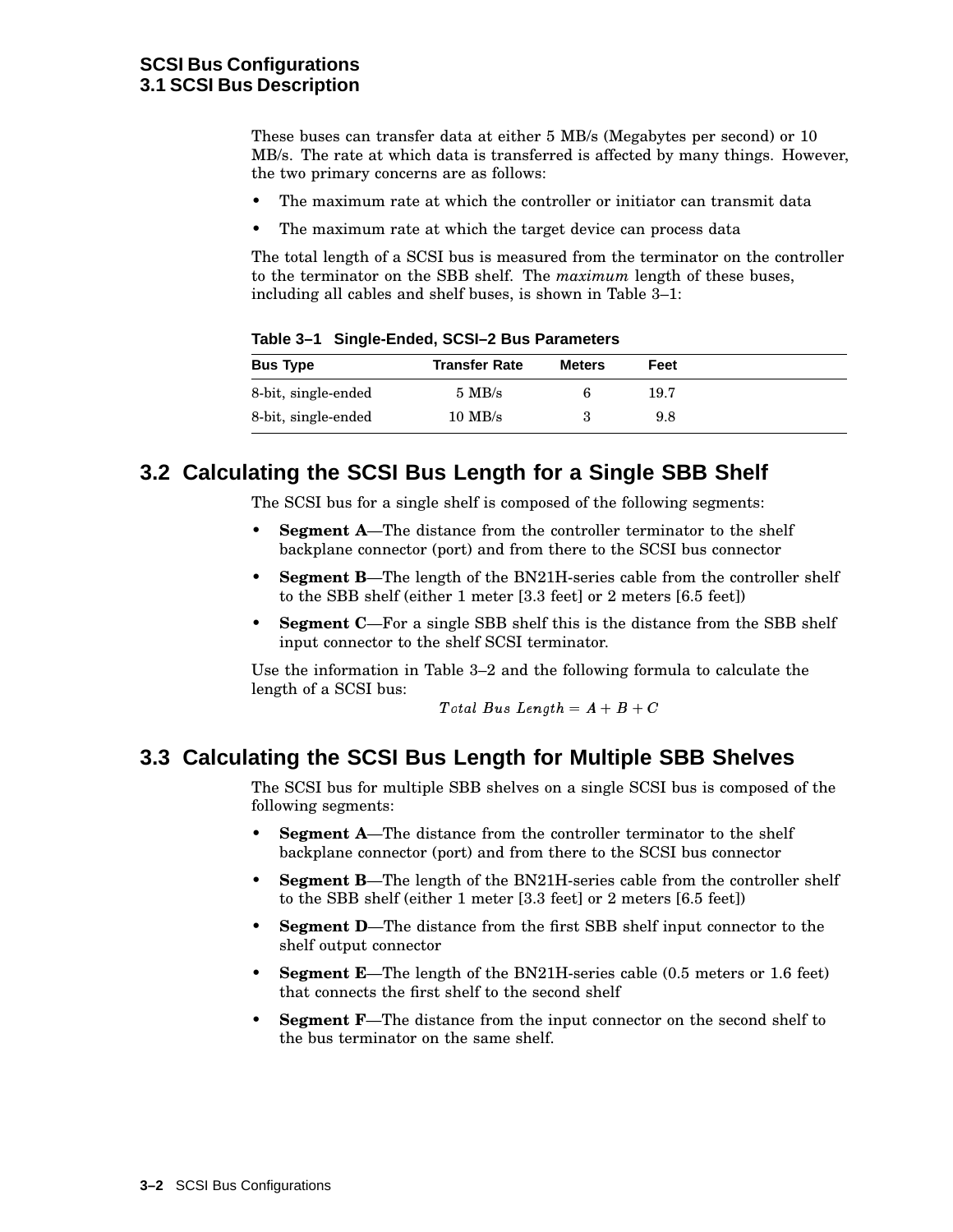These buses can transfer data at either 5 MB/s (Megabytes per second) or 10 MB/s. The rate at which data is transferred is affected by many things. However, the two primary concerns are as follows:

- The maximum rate at which the controller or initiator can transmit data
- The maximum rate at which the target device can process data

The total length of a SCSI bus is measured from the terminator on the controller to the terminator on the SBB shelf. The *maximum* length of these buses, including all cables and shelf buses, is shown in Table 3–1:

**Bus Type Transfer Rate Meters Feet** 8-bit, single-ended 5 MB/s 6 19.7 8-bit, single-ended 10 MB/s 3 9.8

**Table 3–1 Single-Ended, SCSI–2 Bus Parameters**

## **3.2 Calculating the SCSI Bus Length for a Single SBB Shelf**

The SCSI bus for a single shelf is composed of the following segments:

- **Segment A**—The distance from the controller terminator to the shelf backplane connector (port) and from there to the SCSI bus connector
- **Segment B**—The length of the BN21H-series cable from the controller shelf to the SBB shelf (either 1 meter [3.3 feet] or 2 meters [6.5 feet])
- **Segment C**—For a single SBB shelf this is the distance from the SBB shelf input connector to the shelf SCSI terminator.

Use the information in Table 3–2 and the following formula to calculate the length of a SCSI bus:

 $Total Bus Length = A + B + C$ 

## **3.3 Calculating the SCSI Bus Length for Multiple SBB Shelves**

The SCSI bus for multiple SBB shelves on a single SCSI bus is composed of the following segments:

- **Segment A**—The distance from the controller terminator to the shelf backplane connector (port) and from there to the SCSI bus connector
- **Segment B**—The length of the BN21H-series cable from the controller shelf to the SBB shelf (either 1 meter [3.3 feet] or 2 meters [6.5 feet])
- **Segment D**—The distance from the first SBB shelf input connector to the shelf output connector
- **Segment E**—The length of the BN21H-series cable (0.5 meters or 1.6 feet) that connects the first shelf to the second shelf
- **Segment F**—The distance from the input connector on the second shelf to the bus terminator on the same shelf.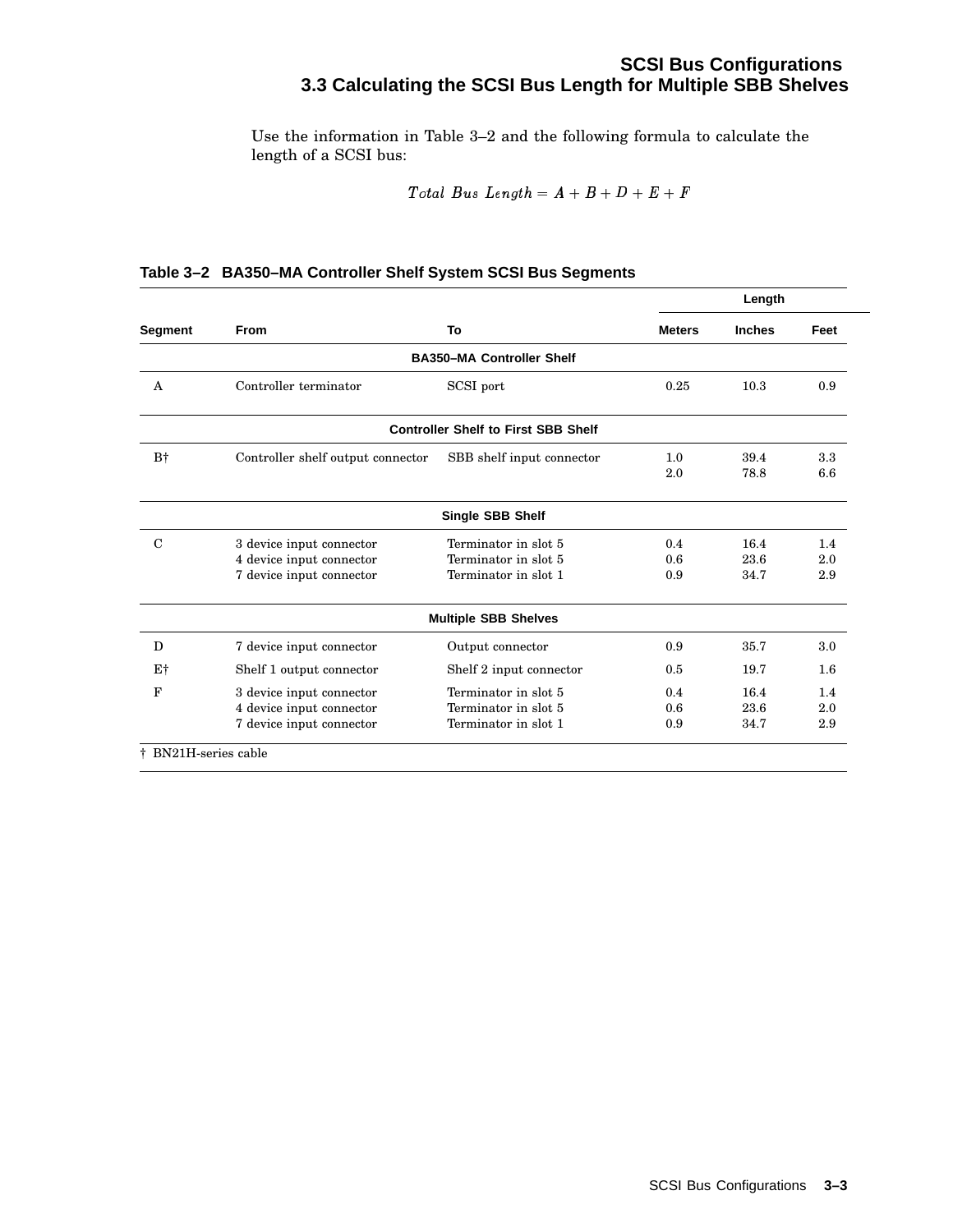## **SCSI Bus Configurations 3.3 Calculating the SCSI Bus Length for Multiple SBB Shelves**

Use the information in Table 3–2 and the following formula to calculate the length of a SCSI bus:

$$
Total \; Bus \; Length = A + B + D + E + F
$$

|                |                                   |                                            | Length        |               |            |
|----------------|-----------------------------------|--------------------------------------------|---------------|---------------|------------|
| <b>Segment</b> | <b>From</b>                       | To                                         | <b>Meters</b> | <b>Inches</b> | Feet       |
|                |                                   | <b>BA350-MA Controller Shelf</b>           |               |               |            |
| $\mathsf{A}$   | Controller terminator             | SCSI port                                  | 0.25          | 10.3          | 0.9        |
|                |                                   | <b>Controller Shelf to First SBB Shelf</b> |               |               |            |
| $B^+$          | Controller shelf output connector | SBB shelf input connector                  | 1.0<br>2.0    | 39.4<br>78.8  | 3.3<br>6.6 |
|                |                                   | <b>Single SBB Shelf</b>                    |               |               |            |
| $\mathcal{C}$  | 3 device input connector          | Terminator in slot 5                       | 0.4           | 16.4          | 1.4        |
|                | 4 device input connector          | Terminator in slot 5                       | 0.6           | 23.6          | 2.0        |
|                | 7 device input connector          | Terminator in slot 1                       | 0.9           | 34.7          | 2.9        |
|                |                                   | <b>Multiple SBB Shelves</b>                |               |               |            |
| D              | 7 device input connector          | Output connector                           | 0.9           | 35.7          | 3.0        |
| E†             | Shelf 1 output connector          | Shelf 2 input connector                    | 0.5           | 19.7          | 1.6        |
| F              | 3 device input connector          | Terminator in slot 5                       | 0.4           | 16.4          | 1.4        |
|                | 4 device input connector          | Terminator in slot 5                       | 0.6           | 23.6          | 2.0        |
|                | 7 device input connector          | Terminator in slot 1                       | 0.9           | 34.7          | 2.9        |

#### **Table 3–2 BA350–MA Controller Shelf System SCSI Bus Segments**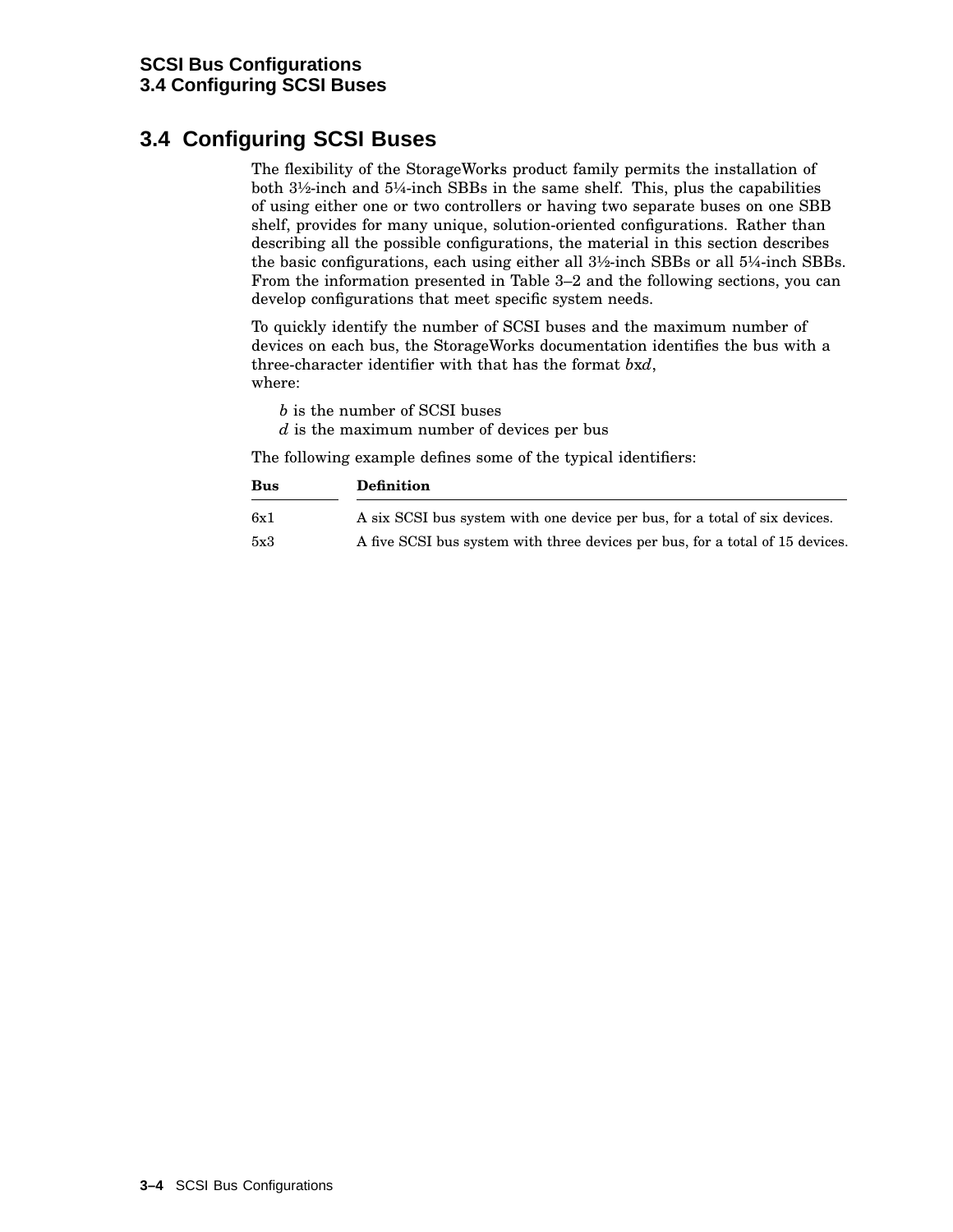# **3.4 Configuring SCSI Buses**

The flexibility of the StorageWorks product family permits the installation of both 3½-inch and 5¼-inch SBBs in the same shelf. This, plus the capabilities of using either one or two controllers or having two separate buses on one SBB shelf, provides for many unique, solution-oriented configurations. Rather than describing all the possible configurations, the material in this section describes the basic configurations, each using either all 3½-inch SBBs or all 5¼-inch SBBs. From the information presented in Table 3–2 and the following sections, you can develop configurations that meet specific system needs.

To quickly identify the number of SCSI buses and the maximum number of devices on each bus, the StorageWorks documentation identifies the bus with a three-character identifier with that has the format *b*x*d*, where:

*b* is the number of SCSI buses

*d* is the maximum number of devices per bus

The following example defines some of the typical identifiers:

| <b>Bus</b> | <b>Definition</b>                                                             |  |  |  |
|------------|-------------------------------------------------------------------------------|--|--|--|
| 6x1        | A six SCSI bus system with one device per bus, for a total of six devices.    |  |  |  |
| 5x3        | A five SCSI bus system with three devices per bus, for a total of 15 devices. |  |  |  |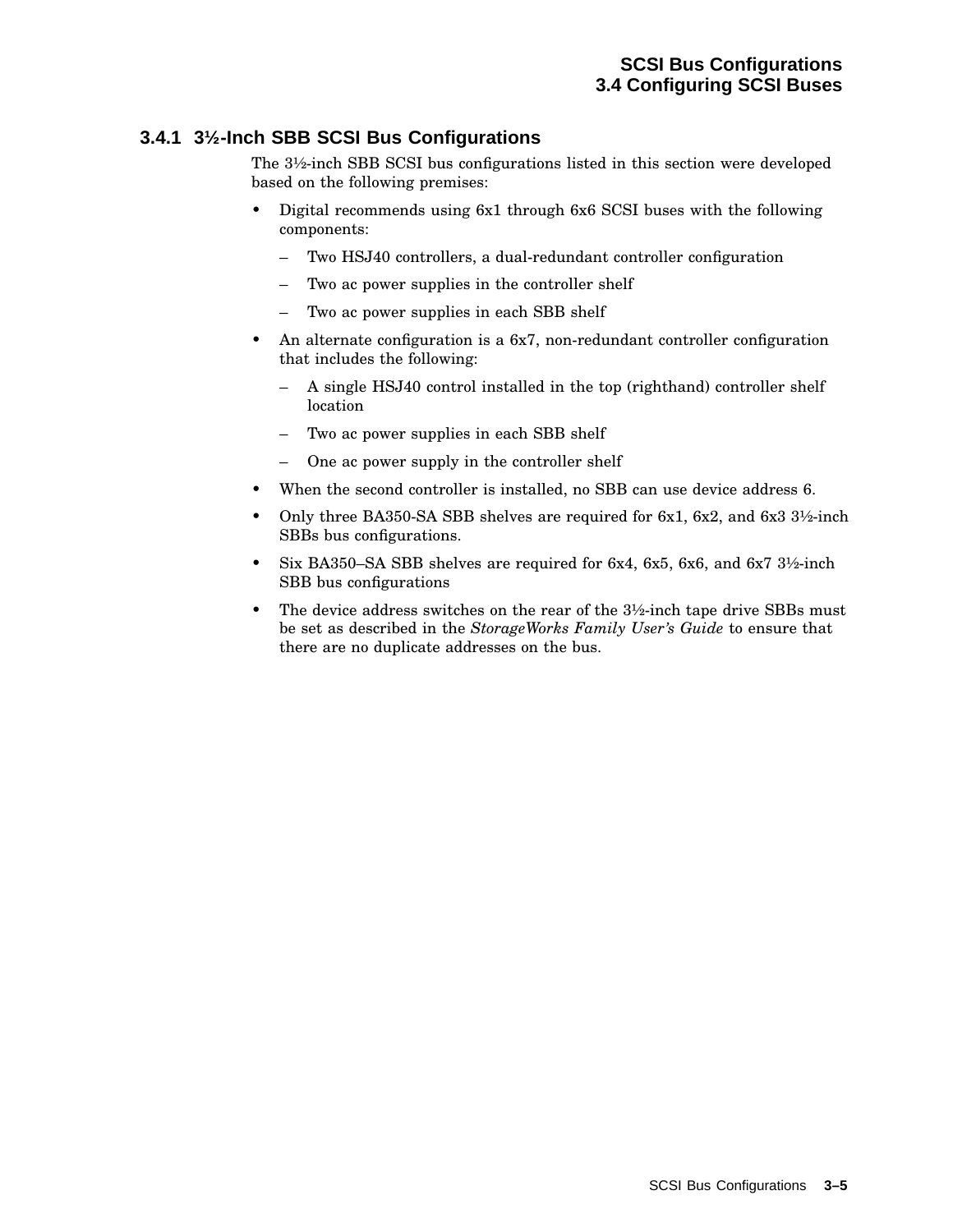### **3.4.1 3½-Inch SBB SCSI Bus Configurations**

The 3½-inch SBB SCSI bus configurations listed in this section were developed based on the following premises:

- Digital recommends using 6x1 through 6x6 SCSI buses with the following components:
	- Two HSJ40 controllers, a dual-redundant controller configuration
	- Two ac power supplies in the controller shelf
	- Two ac power supplies in each SBB shelf
- An alternate configuration is a 6x7, non-redundant controller configuration that includes the following:
	- A single HSJ40 control installed in the top (righthand) controller shelf location
	- Two ac power supplies in each SBB shelf
	- One ac power supply in the controller shelf
- When the second controller is installed, no SBB can use device address 6.
- Only three BA350-SA SBB shelves are required for 6x1, 6x2, and 6x3 3½-inch SBBs bus configurations.
- Six BA350–SA SBB shelves are required for 6x4, 6x5, 6x6, and 6x7 3½-inch SBB bus configurations
- The device address switches on the rear of the 3½-inch tape drive SBBs must be set as described in the *StorageWorks Family User's Guide* to ensure that there are no duplicate addresses on the bus.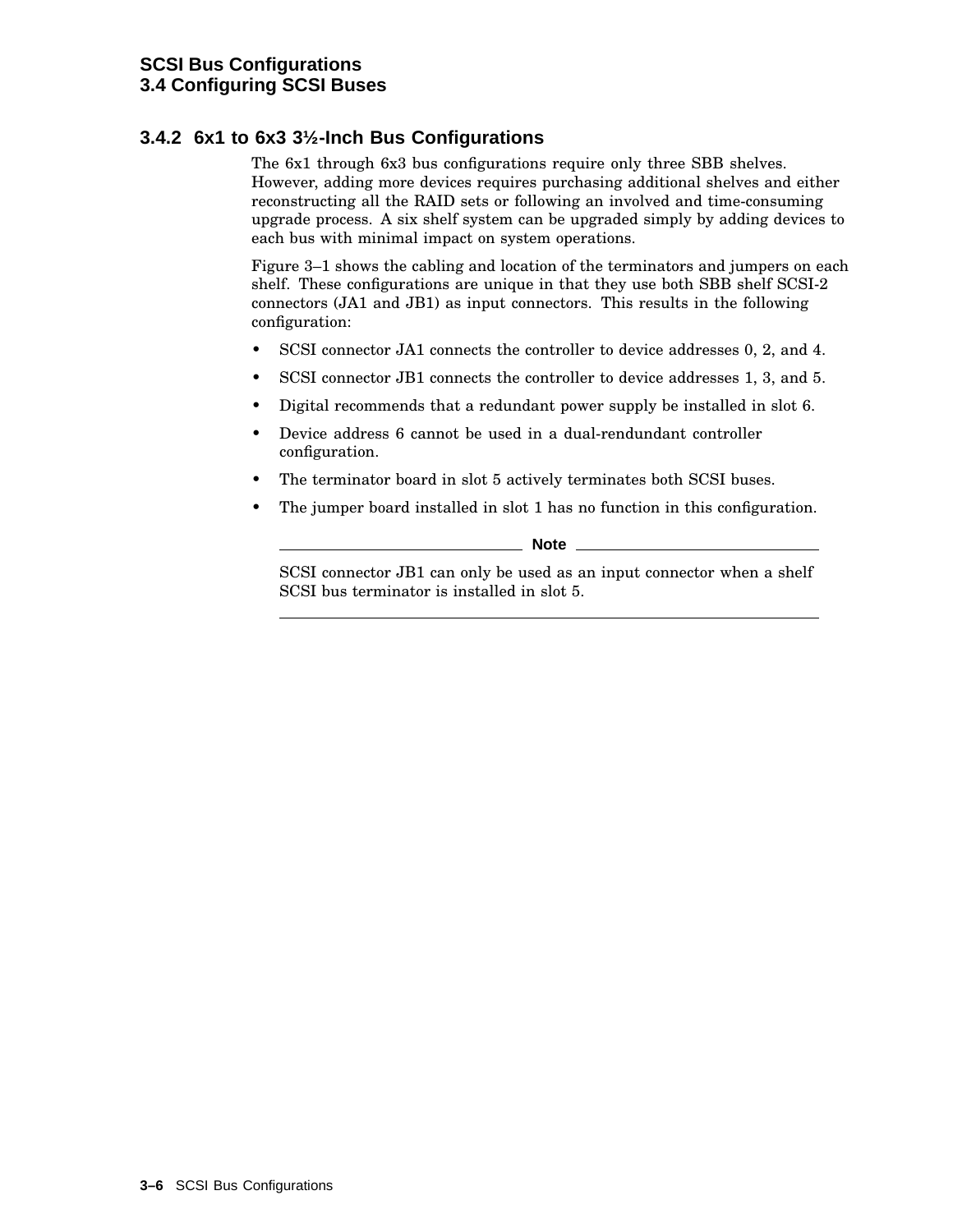### **3.4.2 6x1 to 6x3 3½-Inch Bus Configurations**

The 6x1 through 6x3 bus configurations require only three SBB shelves. However, adding more devices requires purchasing additional shelves and either reconstructing all the RAID sets or following an involved and time-consuming upgrade process. A six shelf system can be upgraded simply by adding devices to each bus with minimal impact on system operations.

Figure 3–1 shows the cabling and location of the terminators and jumpers on each shelf. These configurations are unique in that they use both SBB shelf SCSI-2 connectors (JA1 and JB1) as input connectors. This results in the following configuration:

- SCSI connector JA1 connects the controller to device addresses 0, 2, and 4.
- SCSI connector JB1 connects the controller to device addresses 1, 3, and 5.
- Digital recommends that a redundant power supply be installed in slot 6.
- Device address 6 cannot be used in a dual-rendundant controller configuration.
- The terminator board in slot 5 actively terminates both SCSI buses.
- The jumper board installed in slot 1 has no function in this configuration.

**Note**

SCSI connector JB1 can only be used as an input connector when a shelf SCSI bus terminator is installed in slot 5.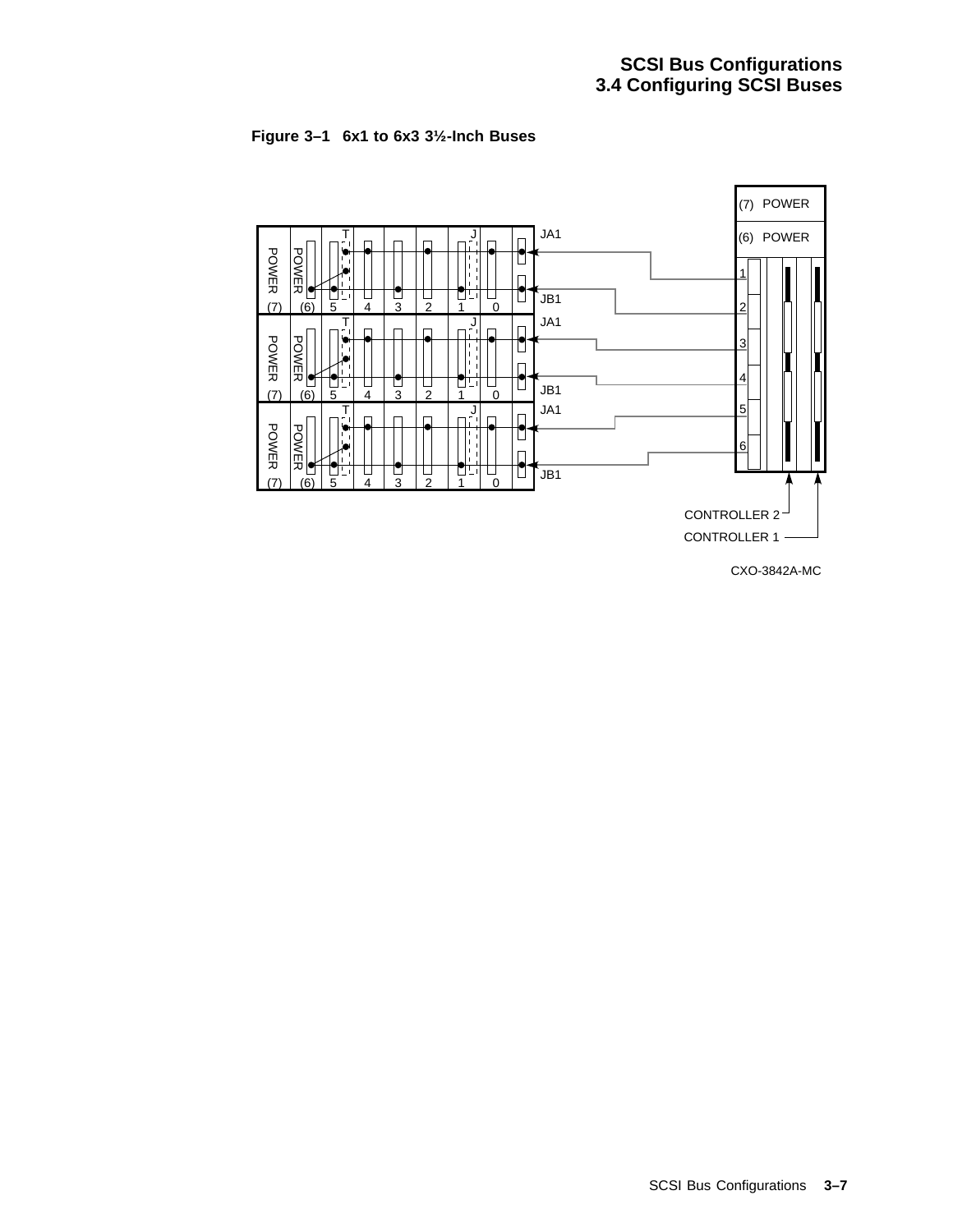



CXO-3842A-MC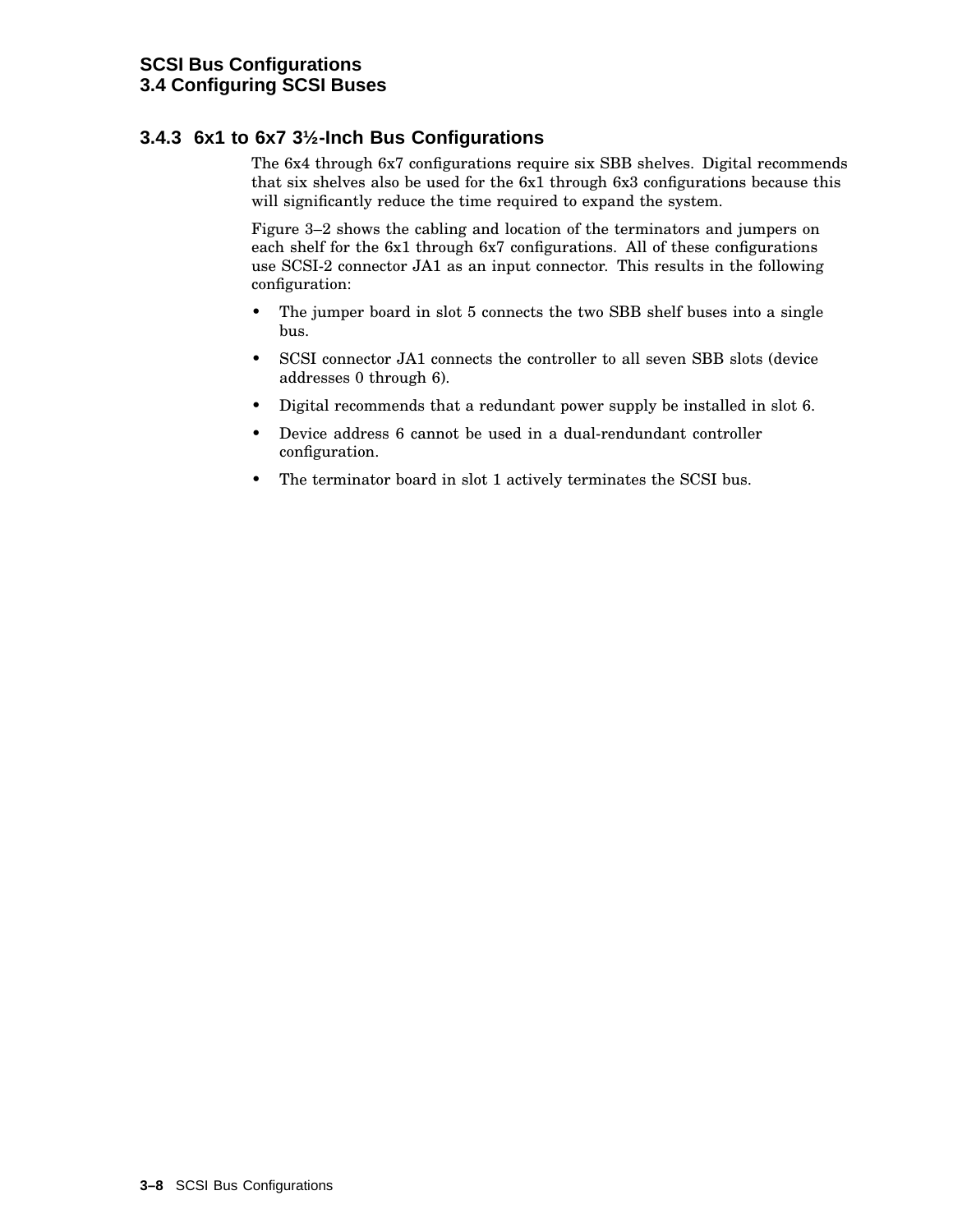### **3.4.3 6x1 to 6x7 3½-Inch Bus Configurations**

The 6x4 through 6x7 configurations require six SBB shelves. Digital recommends that six shelves also be used for the 6x1 through 6x3 configurations because this will significantly reduce the time required to expand the system.

Figure 3–2 shows the cabling and location of the terminators and jumpers on each shelf for the 6x1 through 6x7 configurations. All of these configurations use SCSI-2 connector JA1 as an input connector. This results in the following configuration:

- The jumper board in slot 5 connects the two SBB shelf buses into a single bus.
- SCSI connector JA1 connects the controller to all seven SBB slots (device addresses 0 through 6).
- Digital recommends that a redundant power supply be installed in slot 6.
- Device address 6 cannot be used in a dual-rendundant controller configuration.
- The terminator board in slot 1 actively terminates the SCSI bus.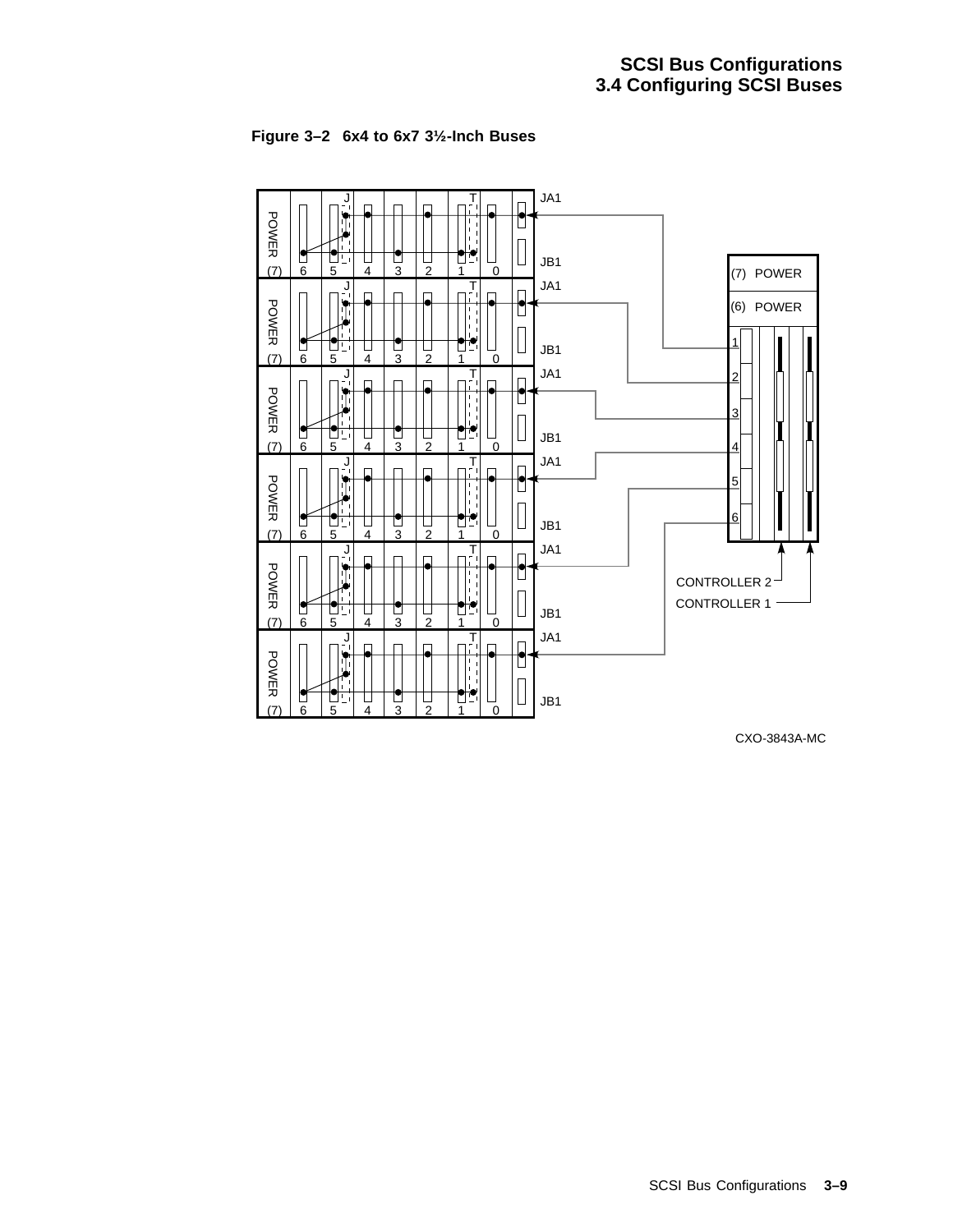



CXO-3843A-MC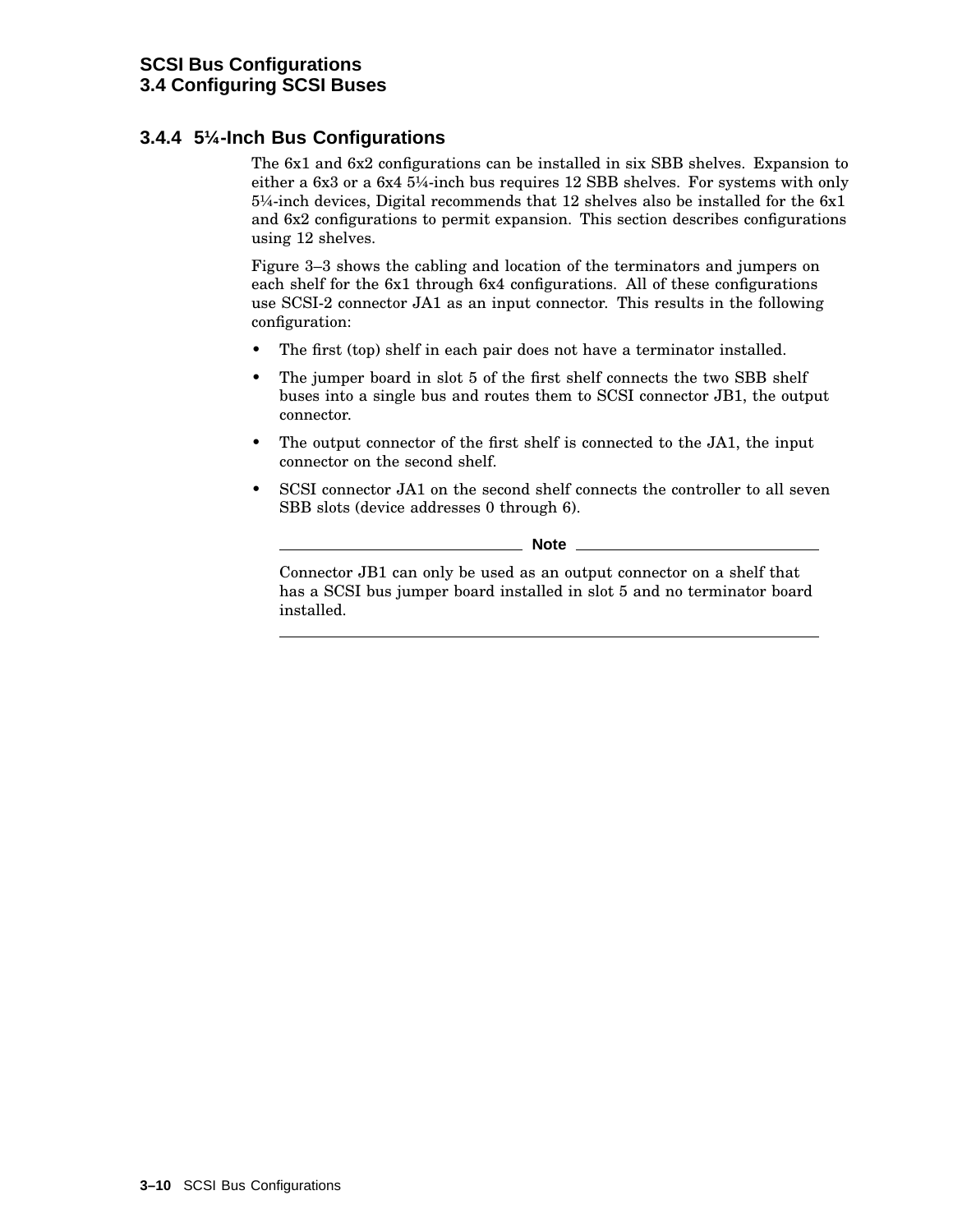### **3.4.4 5¼-Inch Bus Configurations**

The 6x1 and 6x2 configurations can be installed in six SBB shelves. Expansion to either a 6x3 or a 6x4 5¼-inch bus requires 12 SBB shelves. For systems with only 5¼-inch devices, Digital recommends that 12 shelves also be installed for the 6x1 and 6x2 configurations to permit expansion. This section describes configurations using 12 shelves.

Figure 3–3 shows the cabling and location of the terminators and jumpers on each shelf for the 6x1 through 6x4 configurations. All of these configurations use SCSI-2 connector JA1 as an input connector. This results in the following configuration:

- The first (top) shelf in each pair does not have a terminator installed.
- The jumper board in slot 5 of the first shelf connects the two SBB shelf buses into a single bus and routes them to SCSI connector JB1, the output connector.
- The output connector of the first shelf is connected to the JA1, the input connector on the second shelf.
- SCSI connector JA1 on the second shelf connects the controller to all seven SBB slots (device addresses 0 through 6).

\_\_\_\_\_\_\_\_\_ Note \_\_

Connector JB1 can only be used as an output connector on a shelf that has a SCSI bus jumper board installed in slot 5 and no terminator board installed.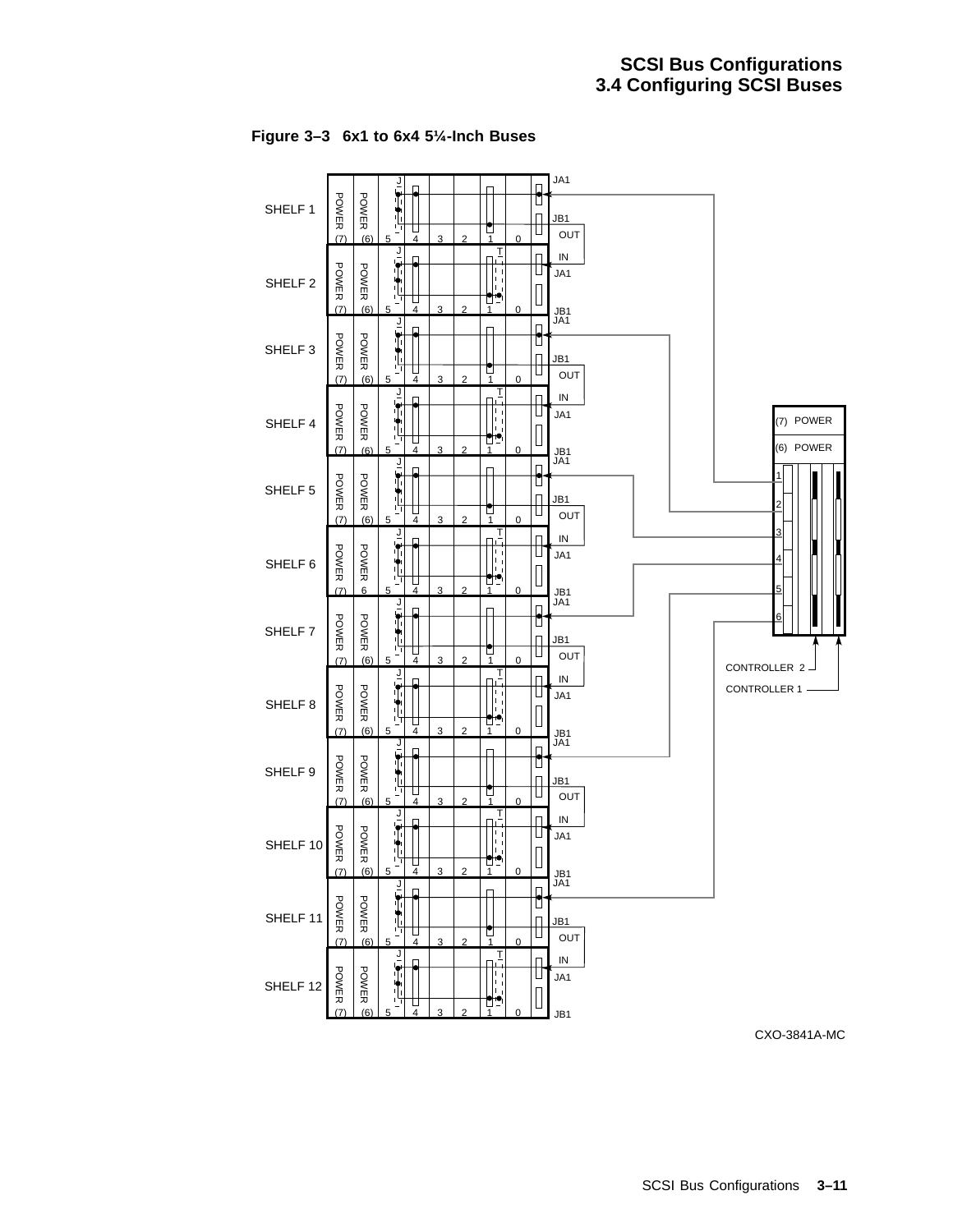

**Figure 3–3 6x1 to 6x4 5¼-Inch Buses**

CXO-3841A-MC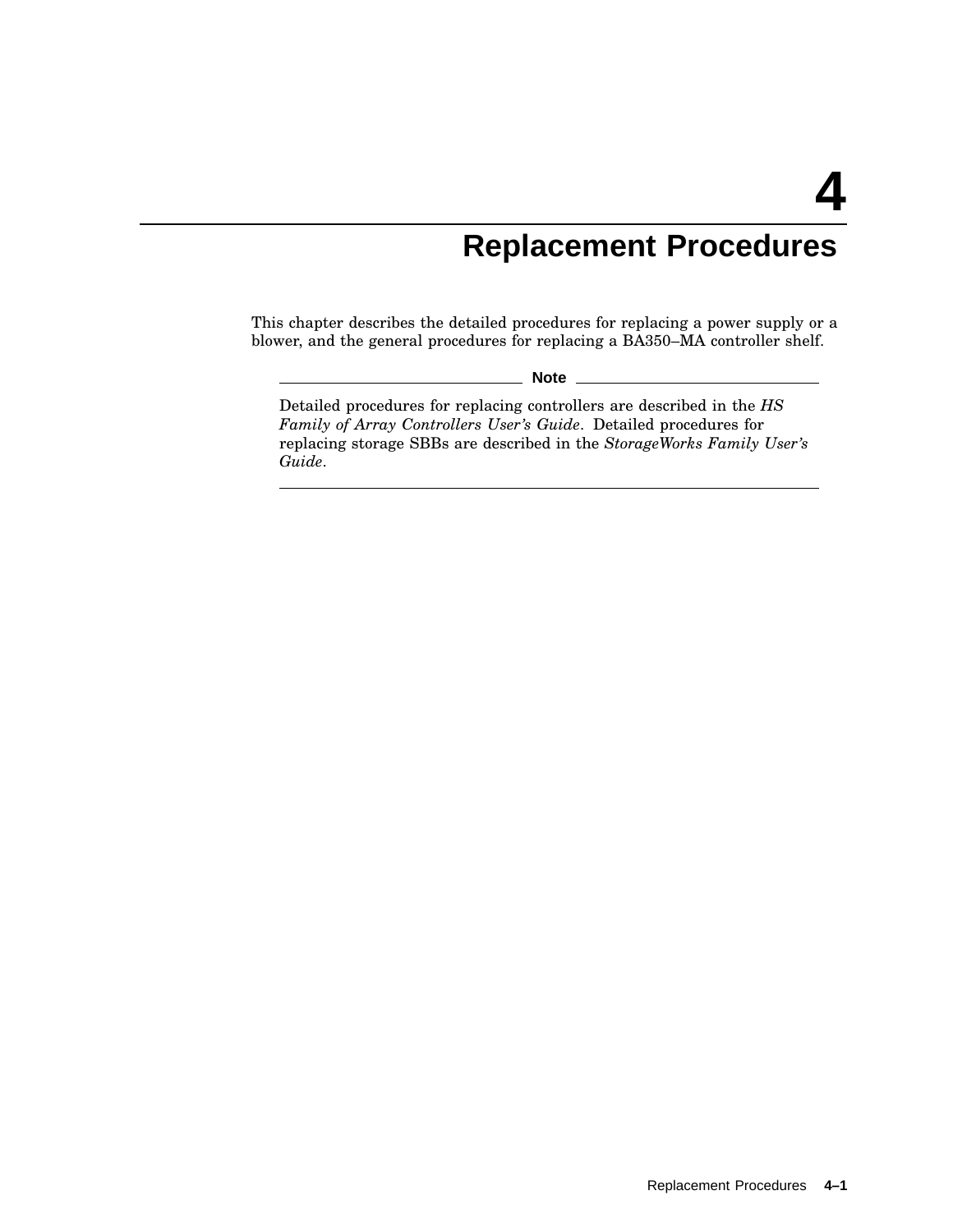# **Replacement Procedures**

This chapter describes the detailed procedures for replacing a power supply or a blower, and the general procedures for replacing a BA350–MA controller shelf.

**Note** \_

Detailed procedures for replacing controllers are described in the *HS Family of Array Controllers User's Guide*. Detailed procedures for replacing storage SBBs are described in the *StorageWorks Family User's Guide*.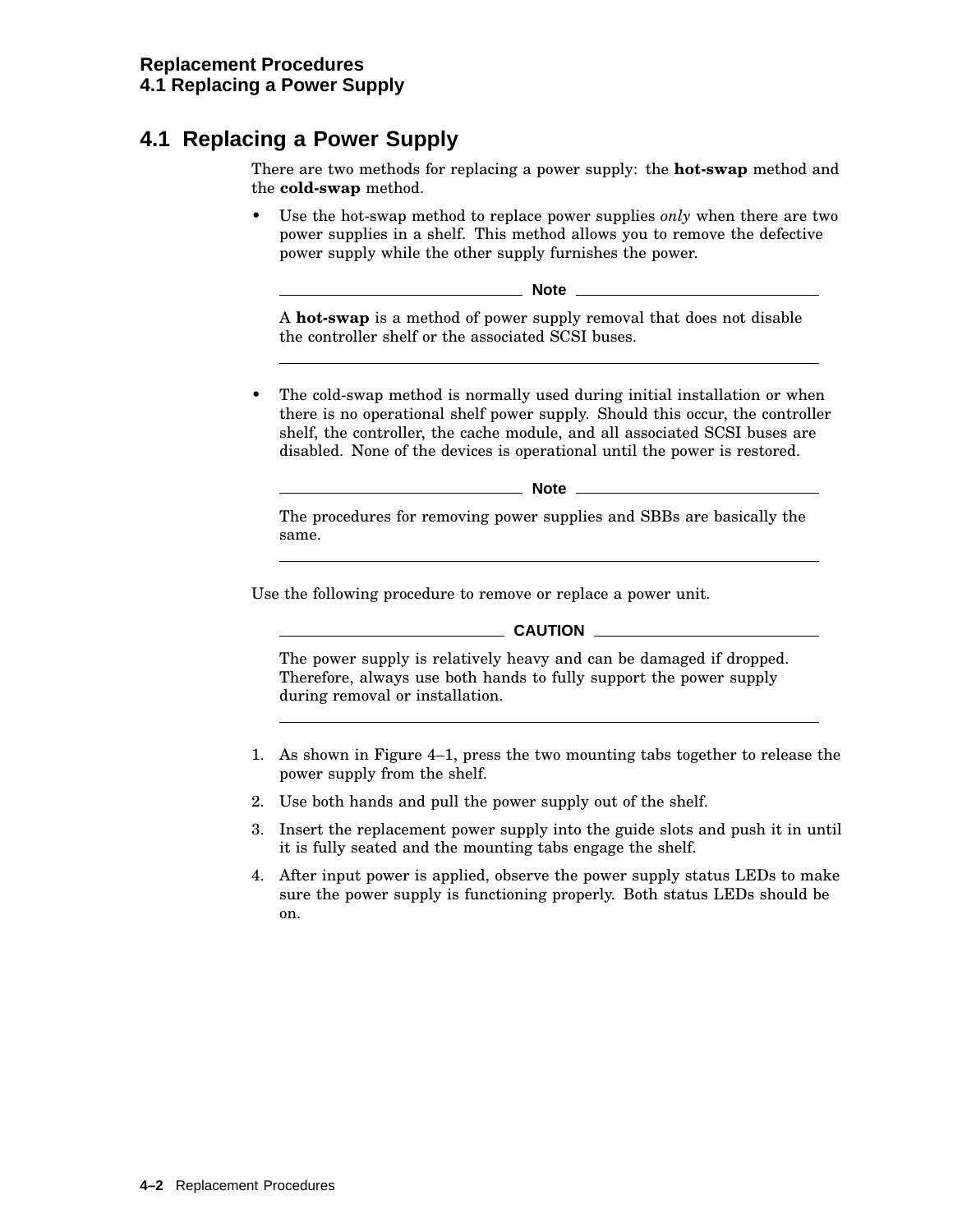# **4.1 Replacing a Power Supply**

There are two methods for replacing a power supply: the **hot-swap** method and the **cold-swap** method.

• Use the hot-swap method to replace power supplies *only* when there are two power supplies in a shelf. This method allows you to remove the defective power supply while the other supply furnishes the power.

**Note**

A **hot-swap** is a method of power supply removal that does not disable the controller shelf or the associated SCSI buses.

• The cold-swap method is normally used during initial installation or when there is no operational shelf power supply. Should this occur, the controller shelf, the controller, the cache module, and all associated SCSI buses are disabled. None of the devices is operational until the power is restored.

**Note**

The procedures for removing power supplies and SBBs are basically the same.

Use the following procedure to remove or replace a power unit.

#### **CAUTION**

The power supply is relatively heavy and can be damaged if dropped. Therefore, always use both hands to fully support the power supply during removal or installation.

- 1. As shown in Figure 4–1, press the two mounting tabs together to release the power supply from the shelf.
- 2. Use both hands and pull the power supply out of the shelf.
- 3. Insert the replacement power supply into the guide slots and push it in until it is fully seated and the mounting tabs engage the shelf.
- 4. After input power is applied, observe the power supply status LEDs to make sure the power supply is functioning properly. Both status LEDs should be on.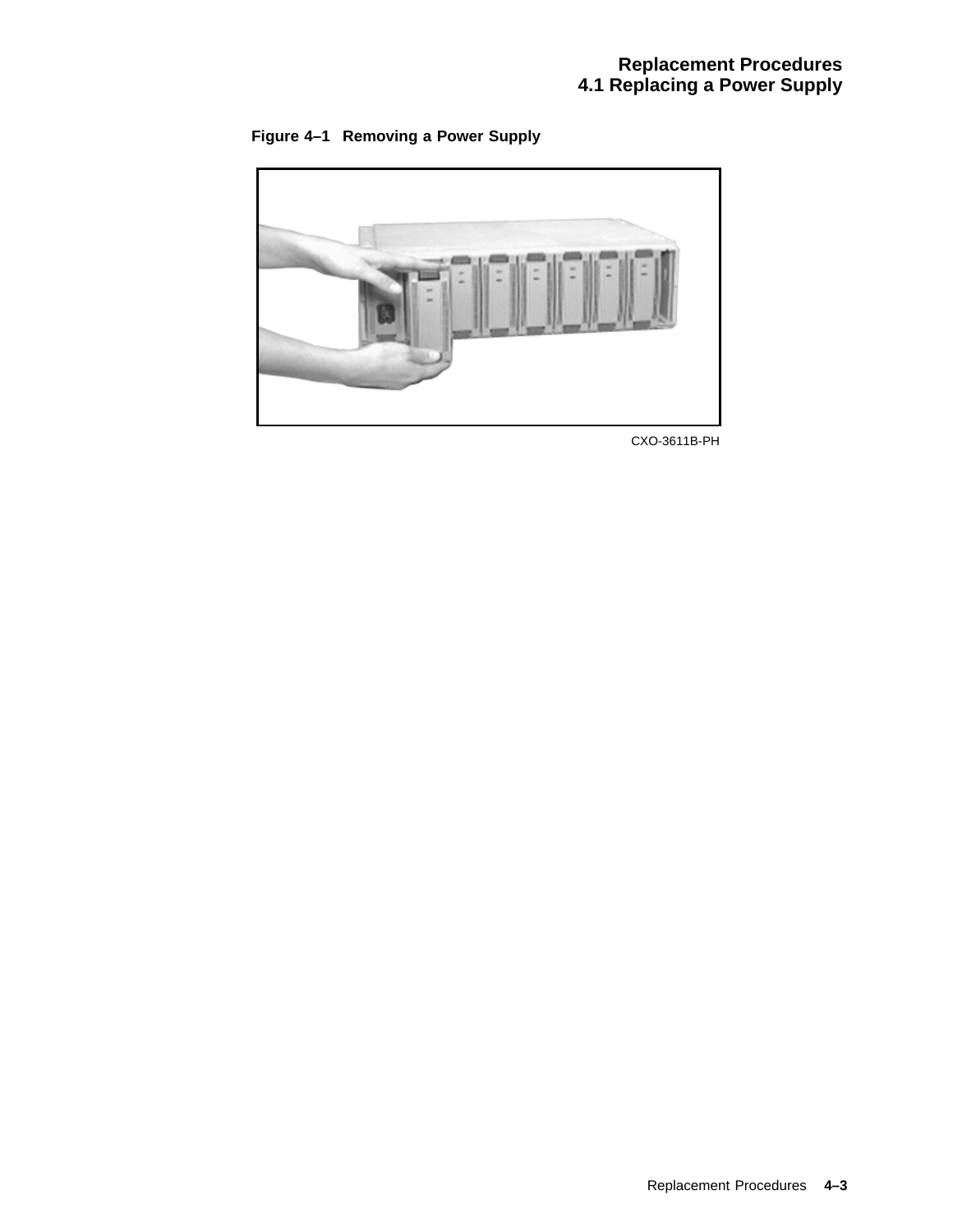



CXO-3611B-PH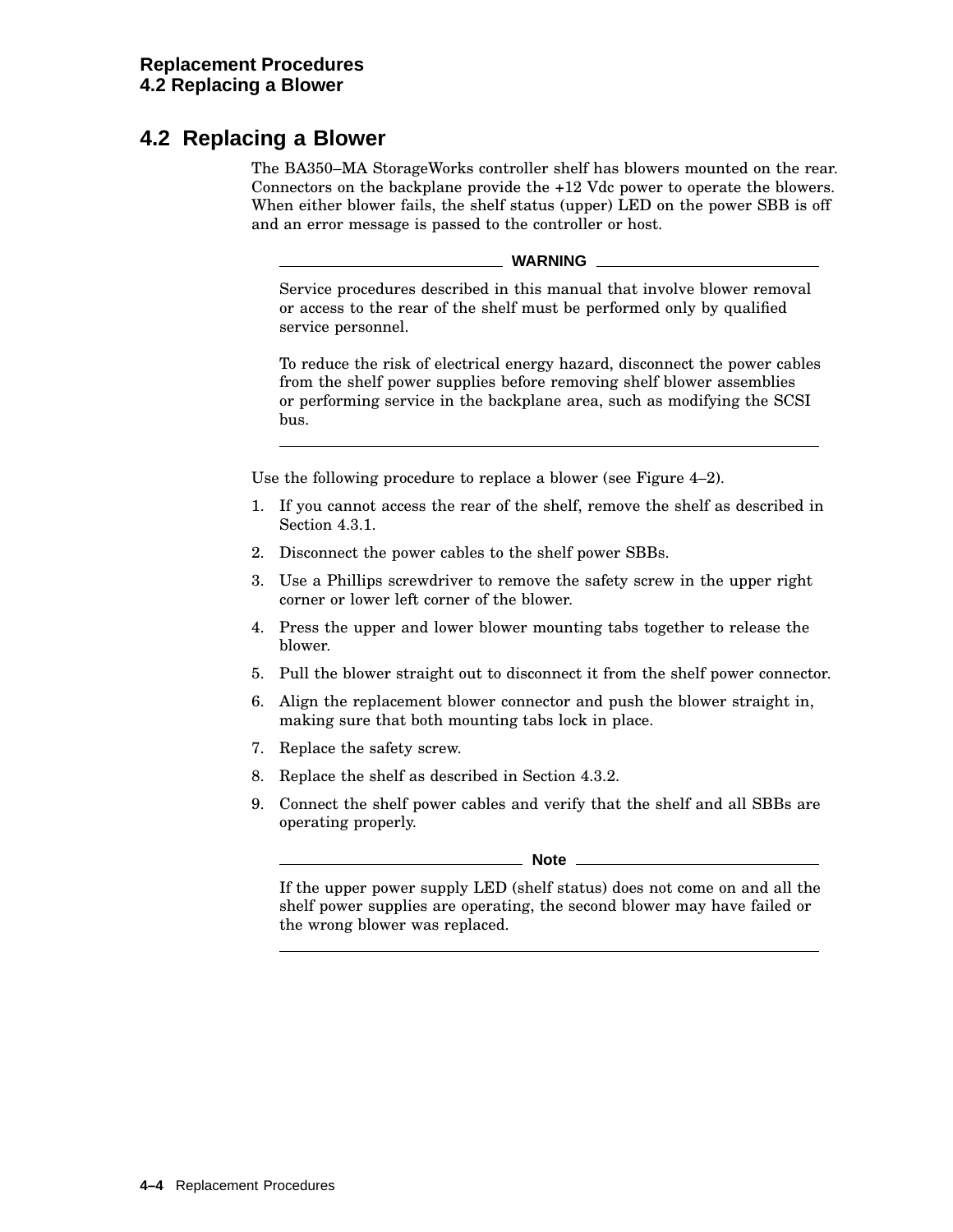## **4.2 Replacing a Blower**

The BA350–MA StorageWorks controller shelf has blowers mounted on the rear. Connectors on the backplane provide the +12 Vdc power to operate the blowers. When either blower fails, the shelf status (upper) LED on the power SBB is off and an error message is passed to the controller or host.

**WARNING**

Service procedures described in this manual that involve blower removal or access to the rear of the shelf must be performed only by qualified service personnel.

To reduce the risk of electrical energy hazard, disconnect the power cables from the shelf power supplies before removing shelf blower assemblies or performing service in the backplane area, such as modifying the SCSI bus.

Use the following procedure to replace a blower (see Figure 4–2).

- 1. If you cannot access the rear of the shelf, remove the shelf as described in Section 4.3.1.
- 2. Disconnect the power cables to the shelf power SBBs.
- 3. Use a Phillips screwdriver to remove the safety screw in the upper right corner or lower left corner of the blower.
- 4. Press the upper and lower blower mounting tabs together to release the blower.
- 5. Pull the blower straight out to disconnect it from the shelf power connector.
- 6. Align the replacement blower connector and push the blower straight in, making sure that both mounting tabs lock in place.
- 7. Replace the safety screw.
- 8. Replace the shelf as described in Section 4.3.2.
- 9. Connect the shelf power cables and verify that the shelf and all SBBs are operating properly.

#### **Note**

If the upper power supply LED (shelf status) does not come on and all the shelf power supplies are operating, the second blower may have failed or the wrong blower was replaced.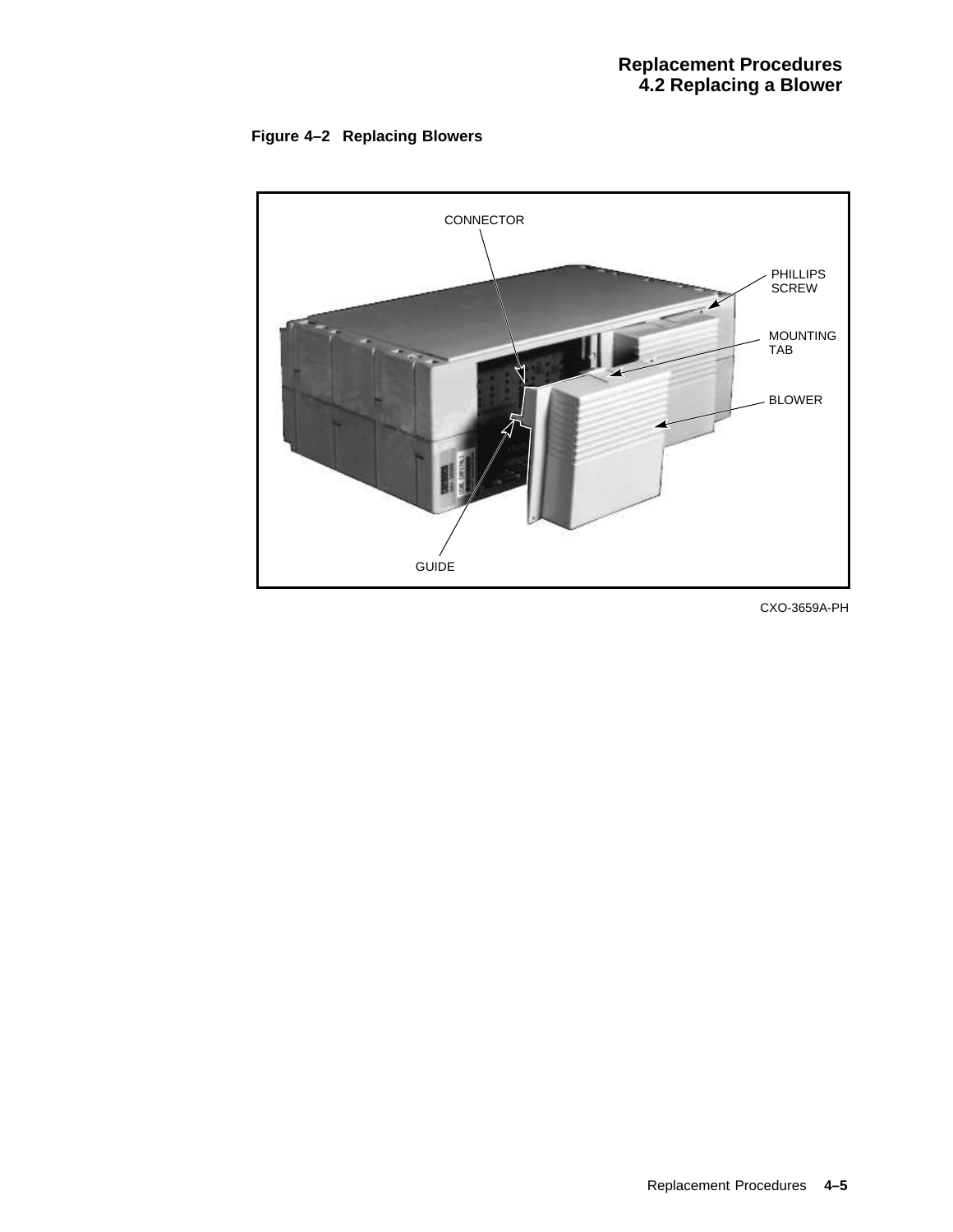



CXO-3659A-PH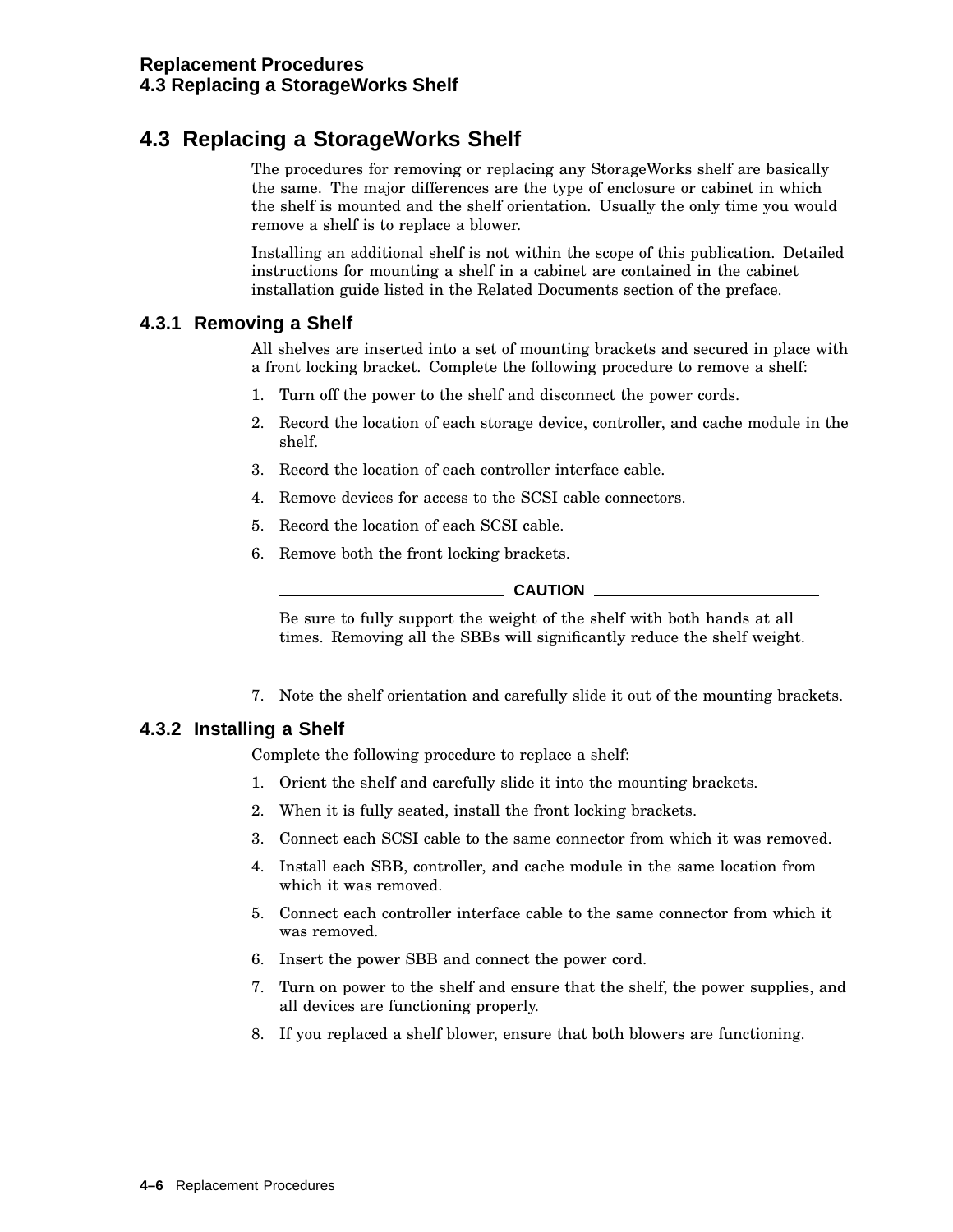# **4.3 Replacing a StorageWorks Shelf**

The procedures for removing or replacing any StorageWorks shelf are basically the same. The major differences are the type of enclosure or cabinet in which the shelf is mounted and the shelf orientation. Usually the only time you would remove a shelf is to replace a blower.

Installing an additional shelf is not within the scope of this publication. Detailed instructions for mounting a shelf in a cabinet are contained in the cabinet installation guide listed in the Related Documents section of the preface.

### **4.3.1 Removing a Shelf**

All shelves are inserted into a set of mounting brackets and secured in place with a front locking bracket. Complete the following procedure to remove a shelf:

- 1. Turn off the power to the shelf and disconnect the power cords.
- 2. Record the location of each storage device, controller, and cache module in the shelf.
- 3. Record the location of each controller interface cable.
- 4. Remove devices for access to the SCSI cable connectors.
- 5. Record the location of each SCSI cable.
- 6. Remove both the front locking brackets.

#### **CAUTION**

Be sure to fully support the weight of the shelf with both hands at all times. Removing all the SBBs will significantly reduce the shelf weight.

7. Note the shelf orientation and carefully slide it out of the mounting brackets.

### **4.3.2 Installing a Shelf**

Complete the following procedure to replace a shelf:

- 1. Orient the shelf and carefully slide it into the mounting brackets.
- 2. When it is fully seated, install the front locking brackets.
- 3. Connect each SCSI cable to the same connector from which it was removed.
- 4. Install each SBB, controller, and cache module in the same location from which it was removed.
- 5. Connect each controller interface cable to the same connector from which it was removed.
- 6. Insert the power SBB and connect the power cord.
- 7. Turn on power to the shelf and ensure that the shelf, the power supplies, and all devices are functioning properly.
- 8. If you replaced a shelf blower, ensure that both blowers are functioning.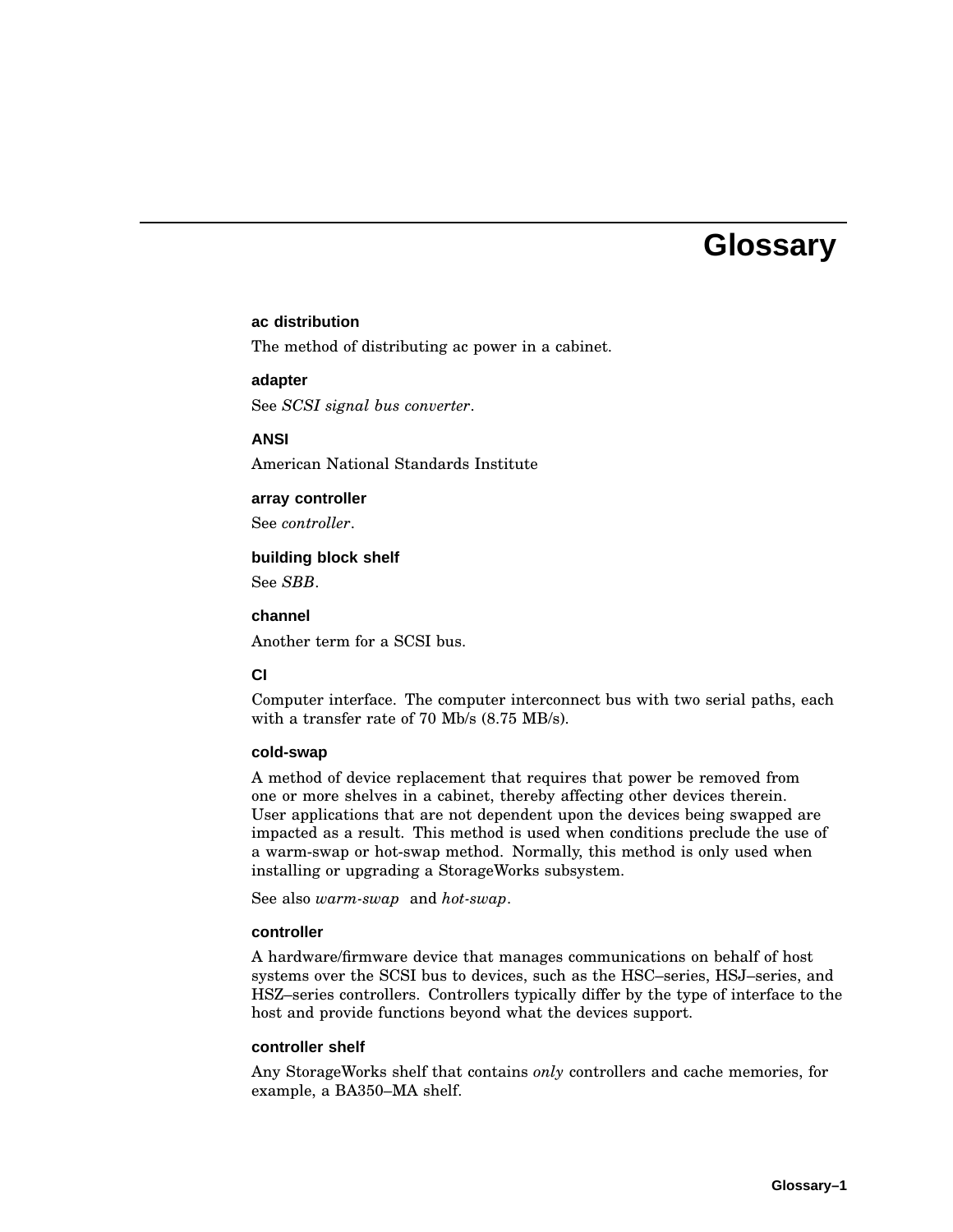# **Glossary**

#### **ac distribution**

The method of distributing ac power in a cabinet.

#### **adapter**

See *SCSI signal bus converter*.

#### **ANSI**

American National Standards Institute

#### **array controller**

See *controller*.

#### **building block shelf**

See *SBB*.

#### **channel**

Another term for a SCSI bus.

#### **CI**

Computer interface. The computer interconnect bus with two serial paths, each with a transfer rate of 70 Mb/s (8.75 MB/s).

#### **cold-swap**

A method of device replacement that requires that power be removed from one or more shelves in a cabinet, thereby affecting other devices therein. User applications that are not dependent upon the devices being swapped are impacted as a result. This method is used when conditions preclude the use of a warm-swap or hot-swap method. Normally, this method is only used when installing or upgrading a StorageWorks subsystem.

See also *warm-swap* and *hot-swap*.

#### **controller**

A hardware/firmware device that manages communications on behalf of host systems over the SCSI bus to devices, such as the HSC–series, HSJ–series, and HSZ–series controllers. Controllers typically differ by the type of interface to the host and provide functions beyond what the devices support.

#### **controller shelf**

Any StorageWorks shelf that contains *only* controllers and cache memories, for example, a BA350–MA shelf.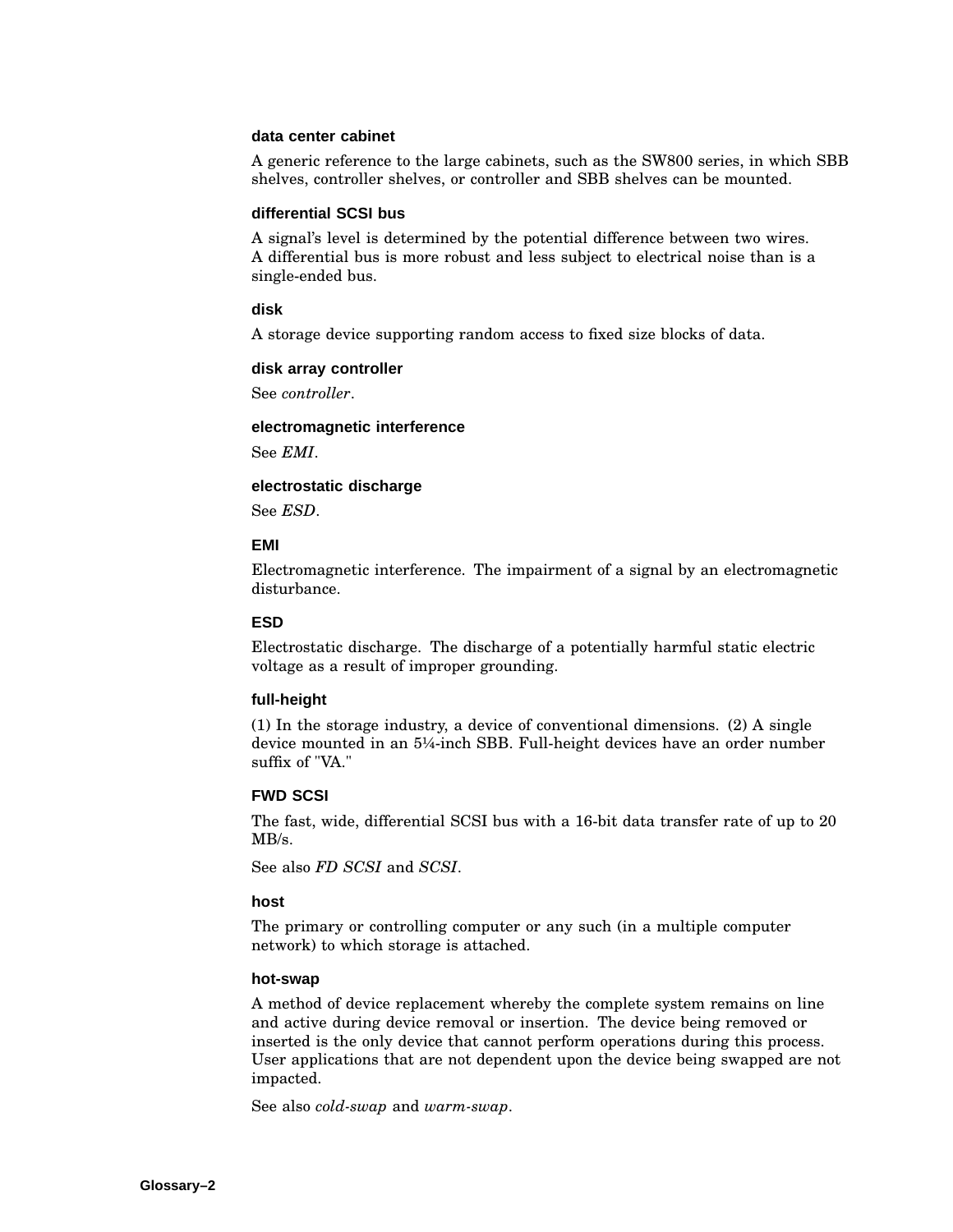#### **data center cabinet**

A generic reference to the large cabinets, such as the SW800 series, in which SBB shelves, controller shelves, or controller and SBB shelves can be mounted.

#### **differential SCSI bus**

A signal's level is determined by the potential difference between two wires. A differential bus is more robust and less subject to electrical noise than is a single-ended bus.

#### **disk**

A storage device supporting random access to fixed size blocks of data.

#### **disk array controller**

See *controller*.

#### **electromagnetic interference**

See *EMI*.

#### **electrostatic discharge**

See *ESD*.

#### **EMI**

Electromagnetic interference. The impairment of a signal by an electromagnetic disturbance.

#### **ESD**

Electrostatic discharge. The discharge of a potentially harmful static electric voltage as a result of improper grounding.

#### **full-height**

(1) In the storage industry, a device of conventional dimensions. (2) A single device mounted in an 5¼-inch SBB. Full-height devices have an order number suffix of "VA."

#### **FWD SCSI**

The fast, wide, differential SCSI bus with a 16-bit data transfer rate of up to 20  $MB/s$ .

See also *FD SCSI* and *SCSI*.

#### **host**

The primary or controlling computer or any such (in a multiple computer network) to which storage is attached.

#### **hot-swap**

A method of device replacement whereby the complete system remains on line and active during device removal or insertion. The device being removed or inserted is the only device that cannot perform operations during this process. User applications that are not dependent upon the device being swapped are not impacted.

See also *cold-swap* and *warm-swap*.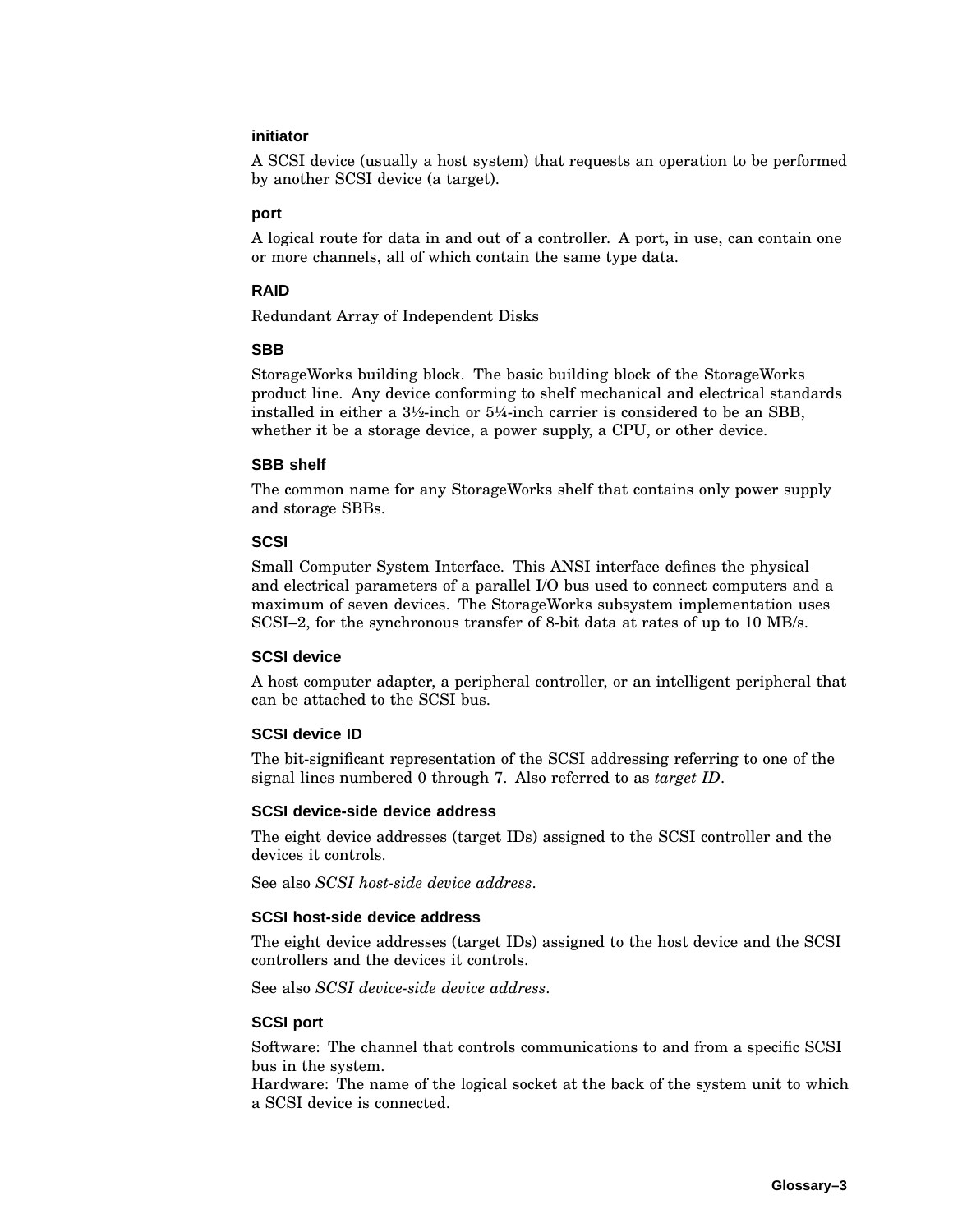#### **initiator**

A SCSI device (usually a host system) that requests an operation to be performed by another SCSI device (a target).

#### **port**

A logical route for data in and out of a controller. A port, in use, can contain one or more channels, all of which contain the same type data.

#### **RAID**

Redundant Array of Independent Disks

#### **SBB**

StorageWorks building block. The basic building block of the StorageWorks product line. Any device conforming to shelf mechanical and electrical standards installed in either a  $3\frac{1}{2}$ -inch or  $5\frac{1}{4}$ -inch carrier is considered to be an SBB, whether it be a storage device, a power supply, a CPU, or other device.

#### **SBB shelf**

The common name for any StorageWorks shelf that contains only power supply and storage SBBs.

#### **SCSI**

Small Computer System Interface. This ANSI interface defines the physical and electrical parameters of a parallel I/O bus used to connect computers and a maximum of seven devices. The StorageWorks subsystem implementation uses SCSI–2, for the synchronous transfer of 8-bit data at rates of up to 10 MB/s.

#### **SCSI device**

A host computer adapter, a peripheral controller, or an intelligent peripheral that can be attached to the SCSI bus.

#### **SCSI device ID**

The bit-significant representation of the SCSI addressing referring to one of the signal lines numbered 0 through 7. Also referred to as *target ID*.

#### **SCSI device-side device address**

The eight device addresses (target IDs) assigned to the SCSI controller and the devices it controls.

See also *SCSI host-side device address*.

#### **SCSI host-side device address**

The eight device addresses (target IDs) assigned to the host device and the SCSI controllers and the devices it controls.

See also *SCSI device-side device address*.

#### **SCSI port**

Software: The channel that controls communications to and from a specific SCSI bus in the system.

Hardware: The name of the logical socket at the back of the system unit to which a SCSI device is connected.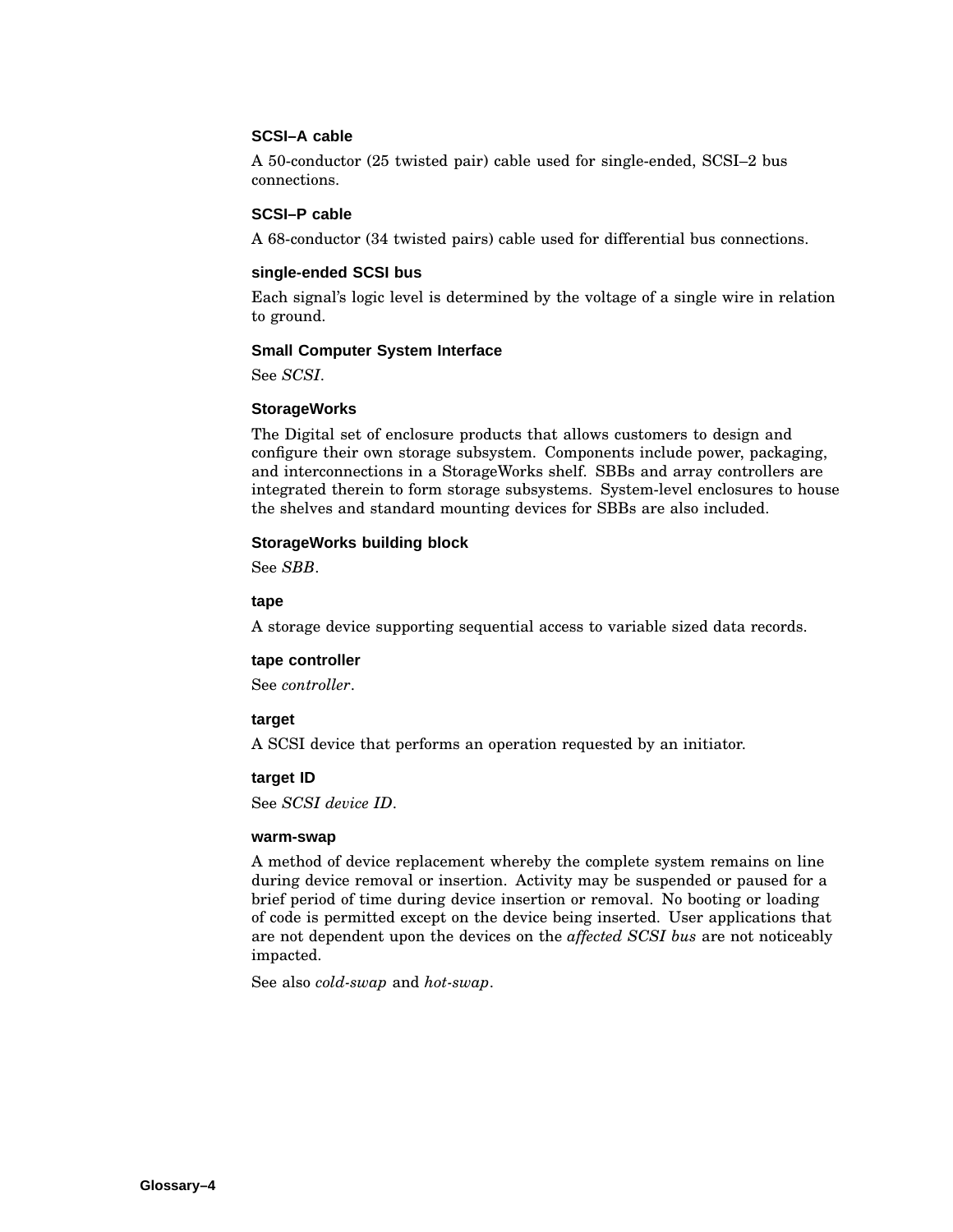#### **SCSI–A cable**

A 50-conductor (25 twisted pair) cable used for single-ended, SCSI–2 bus connections.

#### **SCSI–P cable**

A 68-conductor (34 twisted pairs) cable used for differential bus connections.

#### **single-ended SCSI bus**

Each signal's logic level is determined by the voltage of a single wire in relation to ground.

#### **Small Computer System Interface**

See *SCSI*.

#### **StorageWorks**

The Digital set of enclosure products that allows customers to design and configure their own storage subsystem. Components include power, packaging, and interconnections in a StorageWorks shelf. SBBs and array controllers are integrated therein to form storage subsystems. System-level enclosures to house the shelves and standard mounting devices for SBBs are also included.

#### **StorageWorks building block**

See *SBB*.

#### **tape**

A storage device supporting sequential access to variable sized data records.

#### **tape controller**

See *controller*.

#### **target**

A SCSI device that performs an operation requested by an initiator.

#### **target ID**

See *SCSI device ID*.

#### **warm-swap**

A method of device replacement whereby the complete system remains on line during device removal or insertion. Activity may be suspended or paused for a brief period of time during device insertion or removal. No booting or loading of code is permitted except on the device being inserted. User applications that are not dependent upon the devices on the *affected SCSI bus* are not noticeably impacted.

See also *cold-swap* and *hot-swap*.